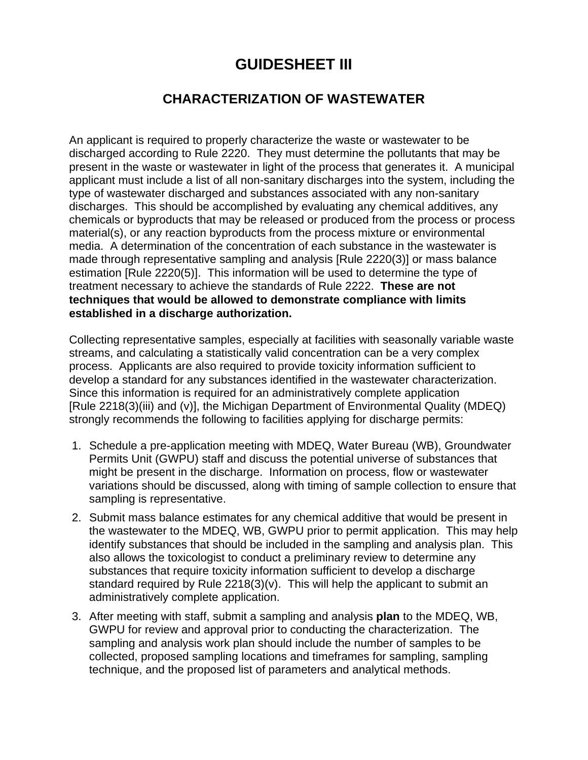# **GUIDESHEET III**

# **CHARACTERIZATION OF WASTEWATER**

An applicant is required to properly characterize the waste or wastewater to be discharged according to Rule 2220. They must determine the pollutants that may be present in the waste or wastewater in light of the process that generates it. A municipal applicant must include a list of all non-sanitary discharges into the system, including the type of wastewater discharged and substances associated with any non-sanitary discharges. This should be accomplished by evaluating any chemical additives, any chemicals or byproducts that may be released or produced from the process or process material(s), or any reaction byproducts from the process mixture or environmental media. A determination of the concentration of each substance in the wastewater is made through representative sampling and analysis [Rule 2220(3)] or mass balance estimation [Rule 2220(5)]. This information will be used to determine the type of treatment necessary to achieve the standards of Rule 2222. **These are not techniques that would be allowed to demonstrate compliance with limits established in a discharge authorization.**

Collecting representative samples, especially at facilities with seasonally variable waste streams, and calculating a statistically valid concentration can be a very complex process. Applicants are also required to provide toxicity information sufficient to develop a standard for any substances identified in the wastewater characterization. Since this information is required for an administratively complete application [Rule 2218(3)(iii) and (v)], the Michigan Department of Environmental Quality (MDEQ) strongly recommends the following to facilities applying for discharge permits:

- 1. Schedule a pre-application meeting with MDEQ, Water Bureau (WB), Groundwater Permits Unit (GWPU) staff and discuss the potential universe of substances that might be present in the discharge. Information on process, flow or wastewater variations should be discussed, along with timing of sample collection to ensure that sampling is representative.
- 2. Submit mass balance estimates for any chemical additive that would be present in the wastewater to the MDEQ, WB, GWPU prior to permit application. This may help identify substances that should be included in the sampling and analysis plan. This also allows the toxicologist to conduct a preliminary review to determine any substances that require toxicity information sufficient to develop a discharge standard required by Rule  $2218(3)(v)$ . This will help the applicant to submit an administratively complete application.
- 3. After meeting with staff, submit a sampling and analysis **plan** to the MDEQ, WB, GWPU for review and approval prior to conducting the characterization. The sampling and analysis work plan should include the number of samples to be collected, proposed sampling locations and timeframes for sampling, sampling technique, and the proposed list of parameters and analytical methods.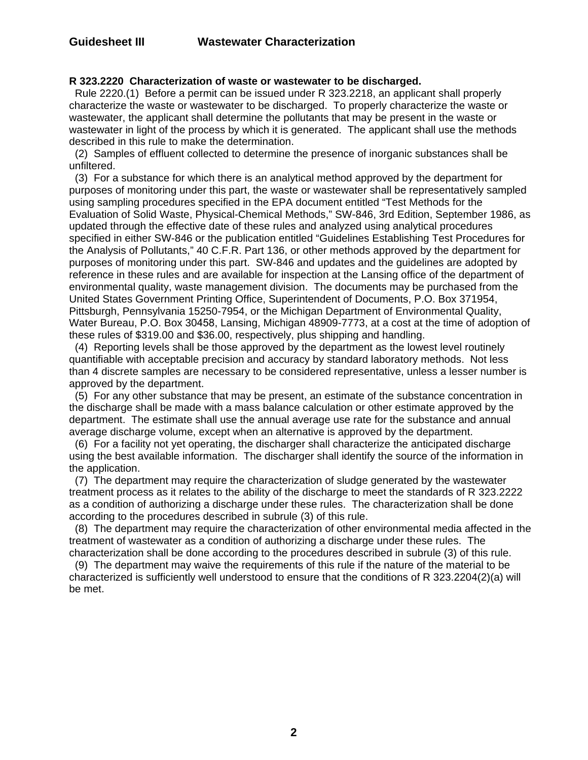### **R 323.2220 Characterization of waste or wastewater to be discharged.**

 Rule 2220.(1) Before a permit can be issued under R 323.2218, an applicant shall properly characterize the waste or wastewater to be discharged. To properly characterize the waste or wastewater, the applicant shall determine the pollutants that may be present in the waste or wastewater in light of the process by which it is generated. The applicant shall use the methods described in this rule to make the determination.

 (2) Samples of effluent collected to determine the presence of inorganic substances shall be unfiltered.

 (3) For a substance for which there is an analytical method approved by the department for purposes of monitoring under this part, the waste or wastewater shall be representatively sampled using sampling procedures specified in the EPA document entitled "Test Methods for the Evaluation of Solid Waste, Physical-Chemical Methods," SW-846, 3rd Edition, September 1986, as updated through the effective date of these rules and analyzed using analytical procedures specified in either SW-846 or the publication entitled "Guidelines Establishing Test Procedures for the Analysis of Pollutants," 40 C.F.R. Part 136, or other methods approved by the department for purposes of monitoring under this part. SW-846 and updates and the guidelines are adopted by reference in these rules and are available for inspection at the Lansing office of the department of environmental quality, waste management division. The documents may be purchased from the United States Government Printing Office, Superintendent of Documents, P.O. Box 371954, Pittsburgh, Pennsylvania 15250-7954, or the Michigan Department of Environmental Quality, Water Bureau, P.O. Box 30458, Lansing, Michigan 48909-7773, at a cost at the time of adoption of these rules of \$319.00 and \$36.00, respectively, plus shipping and handling.

 (4) Reporting levels shall be those approved by the department as the lowest level routinely quantifiable with acceptable precision and accuracy by standard laboratory methods. Not less than 4 discrete samples are necessary to be considered representative, unless a lesser number is approved by the department.

 (5) For any other substance that may be present, an estimate of the substance concentration in the discharge shall be made with a mass balance calculation or other estimate approved by the department. The estimate shall use the annual average use rate for the substance and annual average discharge volume, except when an alternative is approved by the department.

 (6) For a facility not yet operating, the discharger shall characterize the anticipated discharge using the best available information. The discharger shall identify the source of the information in the application.

 (7) The department may require the characterization of sludge generated by the wastewater treatment process as it relates to the ability of the discharge to meet the standards of R 323.2222 as a condition of authorizing a discharge under these rules. The characterization shall be done according to the procedures described in subrule (3) of this rule.

 (8) The department may require the characterization of other environmental media affected in the treatment of wastewater as a condition of authorizing a discharge under these rules. The characterization shall be done according to the procedures described in subrule (3) of this rule.

 (9) The department may waive the requirements of this rule if the nature of the material to be characterized is sufficiently well understood to ensure that the conditions of R 323.2204(2)(a) will be met.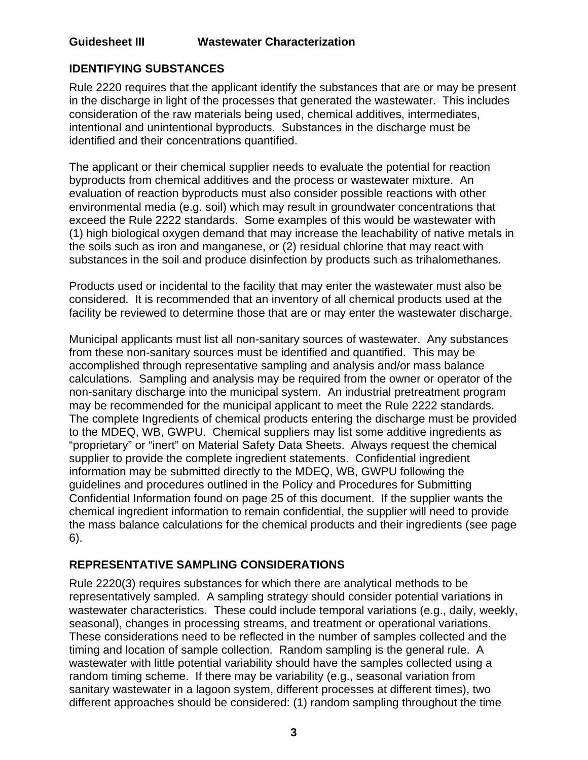## **IDENTIFYING SUBSTANCES**

Rule 2220 requires that the applicant identify the substances that are or may be present in the discharge in light of the processes that generated the wastewater. This includes consideration of the raw materials being used, chemical additives, intermediates, intentional and unintentional byproducts. Substances in the discharge must be identified and their concentrations quantified.

The applicant or their chemical supplier needs to evaluate the potential for reaction byproducts from chemical additives and the process or wastewater mixture. An evaluation of reaction byproducts must also consider possible reactions with other environmental media (e.g. soil) which may result in groundwater concentrations that exceed the Rule 2222 standards. Some examples of this would be wastewater with (1) high biological oxygen demand that may increase the leachability of native metals in the soils such as iron and manganese, or (2) residual chlorine that may react with substances in the soil and produce disinfection by products such as trihalomethanes.

Products used or incidental to the facility that may enter the wastewater must also be considered. It is recommended that an inventory of all chemical products used at the facility be reviewed to determine those that are or may enter the wastewater discharge.

Municipal applicants must list all non-sanitary sources of wastewater. Any substances from these non-sanitary sources must be identified and quantified. This may be accomplished through representative sampling and analysis and/or mass balance calculations. Sampling and analysis may be required from the owner or operator of the non-sanitary discharge into the municipal system. An industrial pretreatment program may be recommended for the municipal applicant to meet the Rule 2222 standards. The complete Ingredients of chemical products entering the discharge must be provided to the MDEQ, WB, GWPU. Chemical suppliers may list some additive ingredients as "proprietary" or "inert" on Material Safety Data Sheets. Always request the chemical supplier to provide the complete ingredient statements. Confidential ingredient information may be submitted directly to the MDEQ, WB, GWPU following the guidelines and procedures outlined in the Policy and Procedures for Submitting Confidential Information found on page 25 of this document. If the supplier wants the chemical ingredient information to remain confidential, the supplier will need to provide the mass balance calculations for the chemical products and their ingredients (see page 6).

### **REPRESENTATIVE SAMPLING CONSIDERATIONS**

Rule 2220(3) requires substances for which there are analytical methods to be representatively sampled. A sampling strategy should consider potential variations in wastewater characteristics. These could include temporal variations (e.g., daily, weekly, seasonal), changes in processing streams, and treatment or operational variations. These considerations need to be reflected in the number of samples collected and the timing and location of sample collection. Random sampling is the general rule. A wastewater with little potential variability should have the samples collected using a random timing scheme. If there may be variability (e.g., seasonal variation from sanitary wastewater in a lagoon system, different processes at different times), two different approaches should be considered: (1) random sampling throughout the time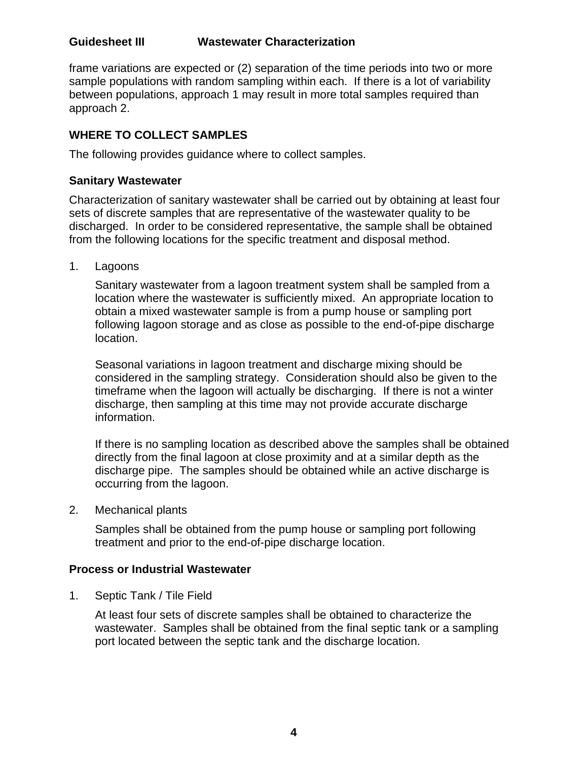frame variations are expected or (2) separation of the time periods into two or more sample populations with random sampling within each. If there is a lot of variability between populations, approach 1 may result in more total samples required than approach 2.

### **WHERE TO COLLECT SAMPLES**

The following provides guidance where to collect samples.

### **Sanitary Wastewater**

Characterization of sanitary wastewater shall be carried out by obtaining at least four sets of discrete samples that are representative of the wastewater quality to be discharged. In order to be considered representative, the sample shall be obtained from the following locations for the specific treatment and disposal method.

1. Lagoons

Sanitary wastewater from a lagoon treatment system shall be sampled from a location where the wastewater is sufficiently mixed. An appropriate location to obtain a mixed wastewater sample is from a pump house or sampling port following lagoon storage and as close as possible to the end-of-pipe discharge location.

Seasonal variations in lagoon treatment and discharge mixing should be considered in the sampling strategy. Consideration should also be given to the timeframe when the lagoon will actually be discharging. If there is not a winter discharge, then sampling at this time may not provide accurate discharge information.

If there is no sampling location as described above the samples shall be obtained directly from the final lagoon at close proximity and at a similar depth as the discharge pipe. The samples should be obtained while an active discharge is occurring from the lagoon.

2. Mechanical plants

Samples shall be obtained from the pump house or sampling port following treatment and prior to the end-of-pipe discharge location.

### **Process or Industrial Wastewater**

1. Septic Tank / Tile Field

At least four sets of discrete samples shall be obtained to characterize the wastewater. Samples shall be obtained from the final septic tank or a sampling port located between the septic tank and the discharge location.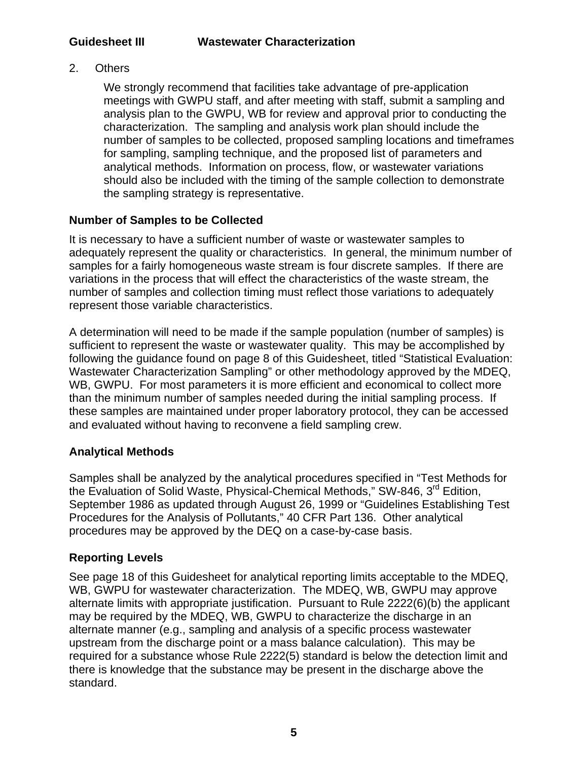2. Others

We strongly recommend that facilities take advantage of pre-application meetings with GWPU staff, and after meeting with staff, submit a sampling and analysis plan to the GWPU, WB for review and approval prior to conducting the characterization. The sampling and analysis work plan should include the number of samples to be collected, proposed sampling locations and timeframes for sampling, sampling technique, and the proposed list of parameters and analytical methods. Information on process, flow, or wastewater variations should also be included with the timing of the sample collection to demonstrate the sampling strategy is representative.

### **Number of Samples to be Collected**

It is necessary to have a sufficient number of waste or wastewater samples to adequately represent the quality or characteristics. In general, the minimum number of samples for a fairly homogeneous waste stream is four discrete samples. If there are variations in the process that will effect the characteristics of the waste stream, the number of samples and collection timing must reflect those variations to adequately represent those variable characteristics.

A determination will need to be made if the sample population (number of samples) is sufficient to represent the waste or wastewater quality. This may be accomplished by following the guidance found on page 8 of this Guidesheet, titled "Statistical Evaluation: Wastewater Characterization Sampling" or other methodology approved by the MDEQ, WB, GWPU. For most parameters it is more efficient and economical to collect more than the minimum number of samples needed during the initial sampling process. If these samples are maintained under proper laboratory protocol, they can be accessed and evaluated without having to reconvene a field sampling crew.

### **Analytical Methods**

Samples shall be analyzed by the analytical procedures specified in "Test Methods for the Evaluation of Solid Waste, Physical-Chemical Methods," SW-846, 3<sup>rd</sup> Edition, September 1986 as updated through August 26, 1999 or "Guidelines Establishing Test Procedures for the Analysis of Pollutants," 40 CFR Part 136. Other analytical procedures may be approved by the DEQ on a case-by-case basis.

### **Reporting Levels**

See page 18 of this Guidesheet for analytical reporting limits acceptable to the MDEQ, WB, GWPU for wastewater characterization. The MDEQ, WB, GWPU may approve alternate limits with appropriate justification. Pursuant to Rule 2222(6)(b) the applicant may be required by the MDEQ, WB, GWPU to characterize the discharge in an alternate manner (e.g., sampling and analysis of a specific process wastewater upstream from the discharge point or a mass balance calculation). This may be required for a substance whose Rule 2222(5) standard is below the detection limit and there is knowledge that the substance may be present in the discharge above the standard.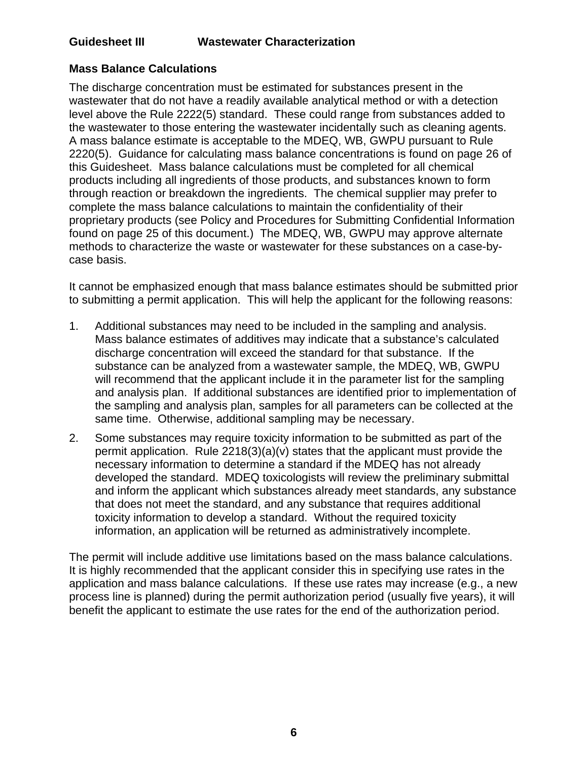### **Mass Balance Calculations**

The discharge concentration must be estimated for substances present in the wastewater that do not have a readily available analytical method or with a detection level above the Rule 2222(5) standard. These could range from substances added to the wastewater to those entering the wastewater incidentally such as cleaning agents. A mass balance estimate is acceptable to the MDEQ, WB, GWPU pursuant to Rule 2220(5). Guidance for calculating mass balance concentrations is found on page 26 of this Guidesheet. Mass balance calculations must be completed for all chemical products including all ingredients of those products, and substances known to form through reaction or breakdown the ingredients. The chemical supplier may prefer to complete the mass balance calculations to maintain the confidentiality of their proprietary products (see Policy and Procedures for Submitting Confidential Information found on page 25 of this document.) The MDEQ, WB, GWPU may approve alternate methods to characterize the waste or wastewater for these substances on a case-bycase basis.

It cannot be emphasized enough that mass balance estimates should be submitted prior to submitting a permit application. This will help the applicant for the following reasons:

- 1. Additional substances may need to be included in the sampling and analysis. Mass balance estimates of additives may indicate that a substance's calculated discharge concentration will exceed the standard for that substance. If the substance can be analyzed from a wastewater sample, the MDEQ, WB, GWPU will recommend that the applicant include it in the parameter list for the sampling and analysis plan. If additional substances are identified prior to implementation of the sampling and analysis plan, samples for all parameters can be collected at the same time. Otherwise, additional sampling may be necessary.
- 2. Some substances may require toxicity information to be submitted as part of the permit application. Rule 2218(3)(a)(v) states that the applicant must provide the necessary information to determine a standard if the MDEQ has not already developed the standard. MDEQ toxicologists will review the preliminary submittal and inform the applicant which substances already meet standards, any substance that does not meet the standard, and any substance that requires additional toxicity information to develop a standard. Without the required toxicity information, an application will be returned as administratively incomplete.

The permit will include additive use limitations based on the mass balance calculations. It is highly recommended that the applicant consider this in specifying use rates in the application and mass balance calculations. If these use rates may increase (e.g., a new process line is planned) during the permit authorization period (usually five years), it will benefit the applicant to estimate the use rates for the end of the authorization period.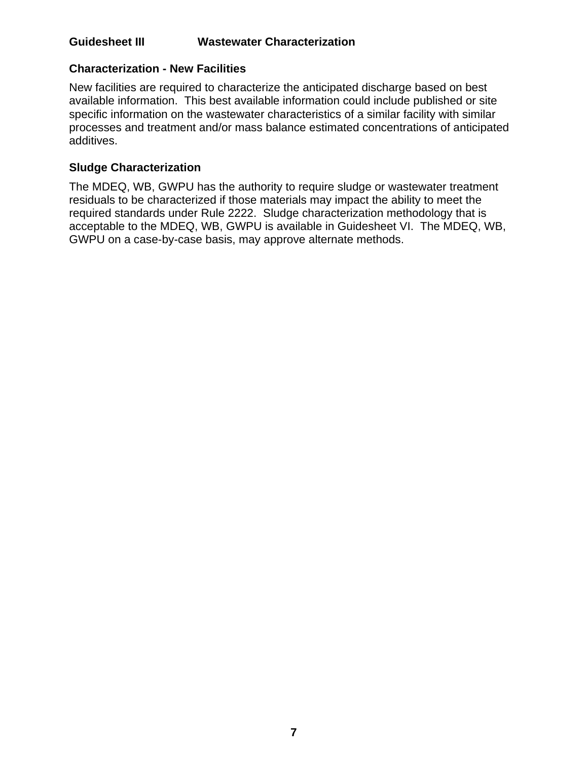### **Characterization - New Facilities**

New facilities are required to characterize the anticipated discharge based on best available information. This best available information could include published or site specific information on the wastewater characteristics of a similar facility with similar processes and treatment and/or mass balance estimated concentrations of anticipated additives.

### **Sludge Characterization**

The MDEQ, WB, GWPU has the authority to require sludge or wastewater treatment residuals to be characterized if those materials may impact the ability to meet the required standards under Rule 2222. Sludge characterization methodology that is acceptable to the MDEQ, WB, GWPU is available in Guidesheet VI. The MDEQ, WB, GWPU on a case-by-case basis, may approve alternate methods.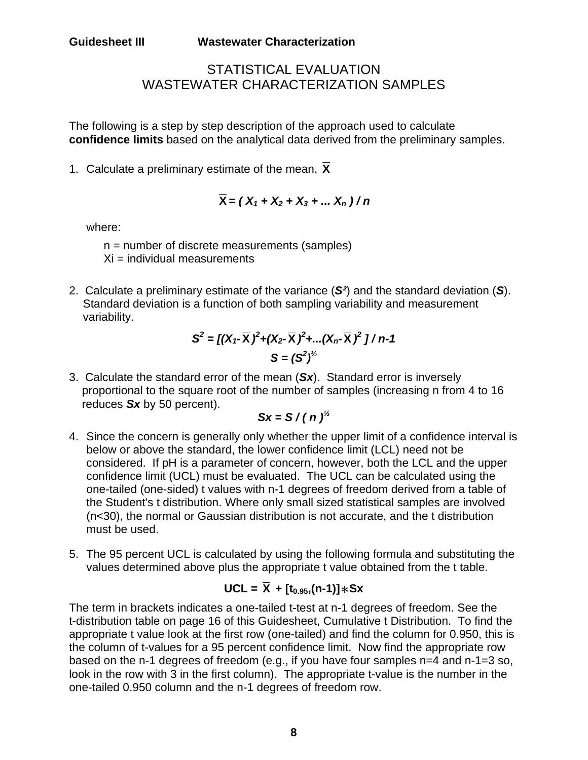## STATISTICAL EVALUATION WASTEWATER CHARACTERIZATION SAMPLES

The following is a step by step description of the approach used to calculate **confidence limits** based on the analytical data derived from the preliminary samples.

1. Calculate a preliminary estimate of the mean, **X**

$$
\overline{X} = (X_1 + X_2 + X_3 + \dots X_n)/n
$$

where:

n = number of discrete measurements (samples)  $Xi =$  individual measurements

2. Calculate a preliminary estimate of the variance (*S²*) and the standard deviation (*S*). Standard deviation is a function of both sampling variability and measurement variability.

$$
S^{2} = [(X_{1} - \overline{X})^{2} + (X_{2} - \overline{X})^{2} + ... (X_{n} - \overline{X})^{2}]/n-1
$$
  

$$
S = (S^{2})^{\frac{1}{2}}
$$

3. Calculate the standard error of the mean (*Sx*). Standard error is inversely proportional to the square root of the number of samples (increasing n from 4 to 16 reduces *Sx* by 50 percent).

$$
Sx = S/(n)^{1/2}
$$

- 4. Since the concern is generally only whether the upper limit of a confidence interval is below or above the standard, the lower confidence limit (LCL) need not be considered. If pH is a parameter of concern, however, both the LCL and the upper confidence limit (UCL) must be evaluated. The UCL can be calculated using the one-tailed (one-sided) t values with n-1 degrees of freedom derived from a table of the Student's t distribution. Where only small sized statistical samples are involved (n<30), the normal or Gaussian distribution is not accurate, and the t distribution must be used.
- 5. The 95 percent UCL is calculated by using the following formula and substituting the values determined above plus the appropriate t value obtained from the t table.

# $UCL = \overline{X} + [t_{0.95}, (n-1)] * Sx$

The term in brackets indicates a one-tailed t-test at n-1 degrees of freedom. See the t-distribution table on page 16 of this Guidesheet, Cumulative t Distribution. To find the appropriate t value look at the first row (one-tailed) and find the column for 0.950, this is the column of t-values for a 95 percent confidence limit. Now find the appropriate row based on the n-1 degrees of freedom (e.g., if you have four samples n=4 and n-1=3 so, look in the row with 3 in the first column). The appropriate t-value is the number in the one-tailed 0.950 column and the n-1 degrees of freedom row.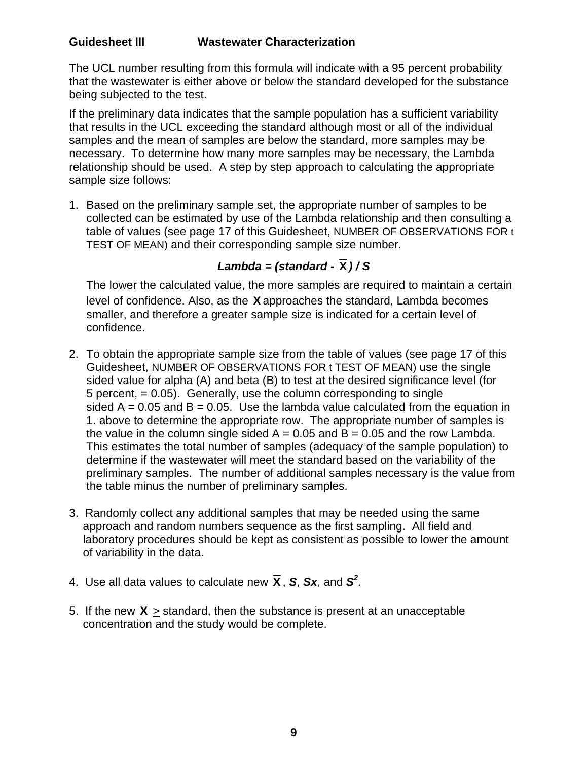The UCL number resulting from this formula will indicate with a 95 percent probability that the wastewater is either above or below the standard developed for the substance being subjected to the test.

If the preliminary data indicates that the sample population has a sufficient variability that results in the UCL exceeding the standard although most or all of the individual samples and the mean of samples are below the standard, more samples may be necessary. To determine how many more samples may be necessary, the Lambda relationship should be used. A step by step approach to calculating the appropriate sample size follows:

1. Based on the preliminary sample set, the appropriate number of samples to be collected can be estimated by use of the Lambda relationship and then consulting a table of values (see page 17 of this Guidesheet, NUMBER OF OBSERVATIONS FOR t TEST OF MEAN) and their corresponding sample size number.

## *Lambda = (standard -*  $\overline{X}$ *)/S*

The lower the calculated value, the more samples are required to maintain a certain level of confidence. Also, as the **X** approaches the standard, Lambda becomes smaller, and therefore a greater sample size is indicated for a certain level of confidence.

- 2. To obtain the appropriate sample size from the table of values (see page 17 of this Guidesheet, NUMBER OF OBSERVATIONS FOR t TEST OF MEAN) use the single sided value for alpha (A) and beta (B) to test at the desired significance level (for 5 percent, = 0.05). Generally, use the column corresponding to single sided  $A = 0.05$  and  $B = 0.05$ . Use the lambda value calculated from the equation in 1. above to determine the appropriate row. The appropriate number of samples is the value in the column single sided  $A = 0.05$  and  $B = 0.05$  and the row Lambda. This estimates the total number of samples (adequacy of the sample population) to determine if the wastewater will meet the standard based on the variability of the preliminary samples. The number of additional samples necessary is the value from the table minus the number of preliminary samples.
- 3. Randomly collect any additional samples that may be needed using the same approach and random numbers sequence as the first sampling. All field and laboratory procedures should be kept as consistent as possible to lower the amount of variability in the data.
- 4. Use all data values to calculate new  $\bar{\mathbf{X}}$ , S, Sx, and S<sup>2</sup>.
- 5. If the new  $X >$  standard, then the substance is present at an unacceptable concentration and the study would be complete.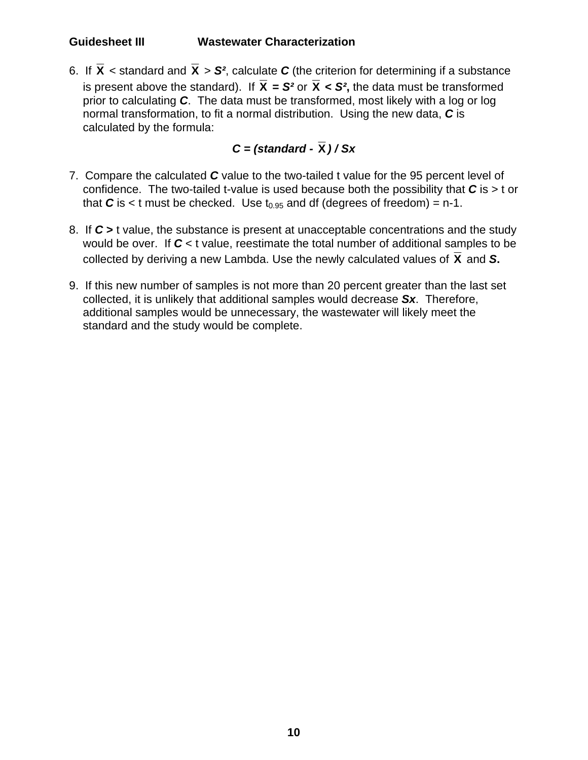6. If  $\overline{X}$  < standard and  $\overline{X}$  >  $S^2$ , calculate C (the criterion for determining if a substance is present above the standard). If  $\overline{X} = S^2$  or  $\overline{X} < S^2$ , the data must be transformed prior to calculating *C*. The data must be transformed, most likely with a log or log normal transformation, to fit a normal distribution. Using the new data, *C* is calculated by the formula:

## *C = (standard -* **X** *) / Sx*

- 7. Compare the calculated *C* value to the two-tailed t value for the 95 percent level of confidence. The two-tailed t-value is used because both the possibility that *C* is > t or that  $C$  is  $\lt$  t must be checked. Use  $t_{0.95}$  and df (degrees of freedom) = n-1.
- 8. If *C* **>** t value, the substance is present at unacceptable concentrations and the study would be over. If *C* < t value, reestimate the total number of additional samples to be collected by deriving a new Lambda. Use the newly calculated values of  $\overline{X}$  and S.
- 9. If this new number of samples is not more than 20 percent greater than the last set collected, it is unlikely that additional samples would decrease *Sx*. Therefore, additional samples would be unnecessary, the wastewater will likely meet the standard and the study would be complete.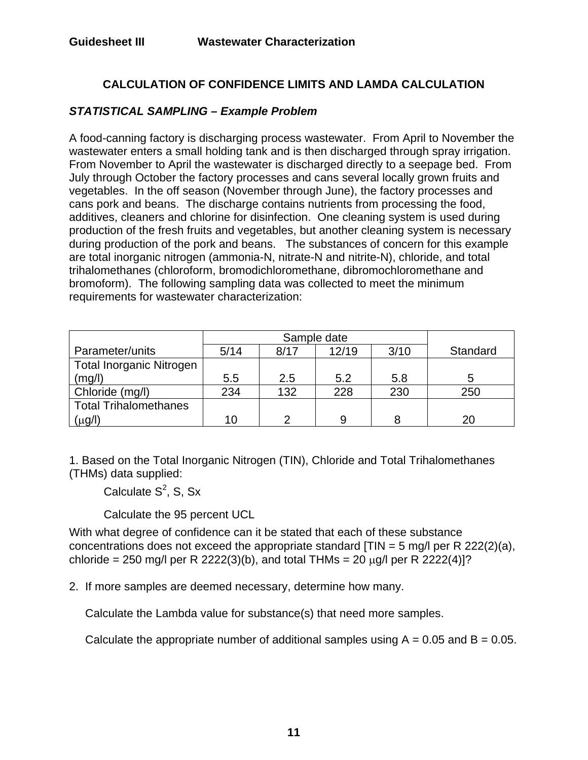### **CALCULATION OF CONFIDENCE LIMITS AND LAMDA CALCULATION**

### *STATISTICAL SAMPLING – Example Problem*

A food-canning factory is discharging process wastewater. From April to November the wastewater enters a small holding tank and is then discharged through spray irrigation. From November to April the wastewater is discharged directly to a seepage bed. From July through October the factory processes and cans several locally grown fruits and vegetables. In the off season (November through June), the factory processes and cans pork and beans. The discharge contains nutrients from processing the food, additives, cleaners and chlorine for disinfection. One cleaning system is used during production of the fresh fruits and vegetables, but another cleaning system is necessary during production of the pork and beans. The substances of concern for this example are total inorganic nitrogen (ammonia-N, nitrate-N and nitrite-N), chloride, and total trihalomethanes (chloroform, bromodichloromethane, dibromochloromethane and bromoform). The following sampling data was collected to meet the minimum requirements for wastewater characterization:

| Parameter/units                 | 5/14 | 8/17 | 12/19 | 3/10 | Standard |
|---------------------------------|------|------|-------|------|----------|
| <b>Total Inorganic Nitrogen</b> |      |      |       |      |          |
| (mg/l)                          | 5.5  | 2.5  | 5.2   | 5.8  |          |
| Chloride (mg/l)                 | 234  | 132  | 228   | 230  | 250      |
| <b>Total Trihalomethanes</b>    |      |      |       |      |          |
| (μg/ľ                           | 10   | ⌒    |       |      | 20       |

1. Based on the Total Inorganic Nitrogen (TIN), Chloride and Total Trihalomethanes (THMs) data supplied:

Calculate  $S^2$ , S, Sx

Calculate the 95 percent UCL

With what degree of confidence can it be stated that each of these substance concentrations does not exceed the appropriate standard  $[TIN = 5 mg/l$  per R 222(2)(a), chloride = 250 mg/l per R 2222(3)(b), and total THMs = 20  $\mu$ g/l per R 2222(4)]?

2. If more samples are deemed necessary, determine how many.

Calculate the Lambda value for substance(s) that need more samples.

Calculate the appropriate number of additional samples using  $A = 0.05$  and  $B = 0.05$ .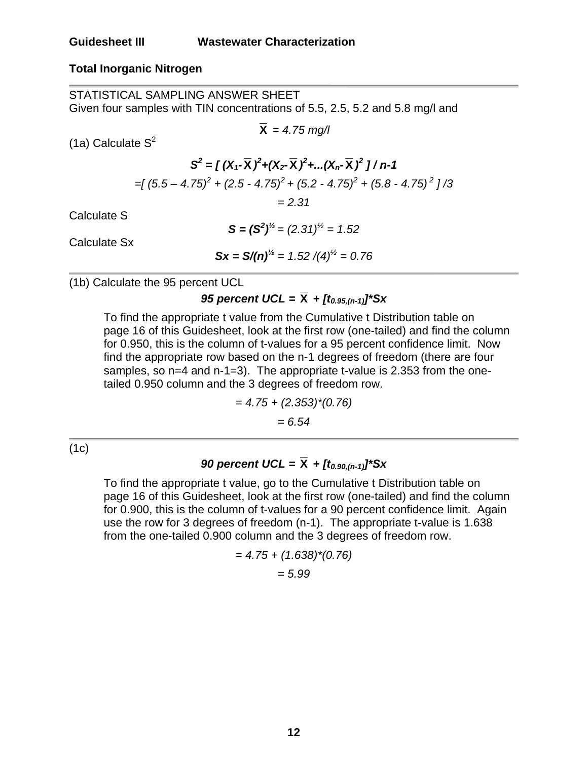### **Total Inorganic Nitrogen**

STATISTICAL SAMPLING ANSWER SHEET Given four samples with TIN concentrations of 5.5, 2.5, 5.2 and 5.8 mg/l and

$$
\overline{\mathbf{X}} = 4.75 \text{ mg/l}
$$

 $(1a)$  Calculate  $S^2$ 

 $S^2 = \left[ (X_1 - \overline{X})^2 + (X_2 - \overline{X})^2 + ... (X_n - \overline{X})^2 \right] / n - 1$ *=[ (5.5 – 4.75) + (2.5 - 4.75) + (5.2 - 4.75) + (5.8 - 4.75) ] /3 <sup>2</sup> 2 2 2 = 2.31*

Calculate S

 $S = (S^2)^{1/2} = (2.31)^{1/2} = 1.52$ 

Calculate Sx

$$
Sx = S/(n)^{1/2} = 1.52 / (4)^{1/2} = 0.76
$$

(1b) Calculate the 95 percent UCL

# *95 percent UCL =*  $\bar{X}$  *+ [t<sub>0.95,(n-1)</sub>]\*Sx*

To find the appropriate t value from the Cumulative t Distribution table on page 16 of this Guidesheet, look at the first row (one-tailed) and find the column for 0.950, this is the column of t-values for a 95 percent confidence limit. Now find the appropriate row based on the n-1 degrees of freedom (there are four samples, so n=4 and n-1=3). The appropriate t-value is 2.353 from the onetailed 0.950 column and the 3 degrees of freedom row.

$$
= 4.75 + (2.353)^*(0.76)
$$

$$
= 6.54
$$

 $(1c)$ 

## *90 percent UCL =*  $\bar{X}$  *+ [t<sub>0.90,(n-1)</sub>]\*Sx*

To find the appropriate t value, go to the Cumulative t Distribution table on page 16 of this Guidesheet, look at the first row (one-tailed) and find the column for 0.900, this is the column of t-values for a 90 percent confidence limit. Again use the row for 3 degrees of freedom (n-1). The appropriate t-value is 1.638 from the one-tailed 0.900 column and the 3 degrees of freedom row.

$$
= 4.75 + (1.638)^*(0.76)
$$

$$
= 5.99
$$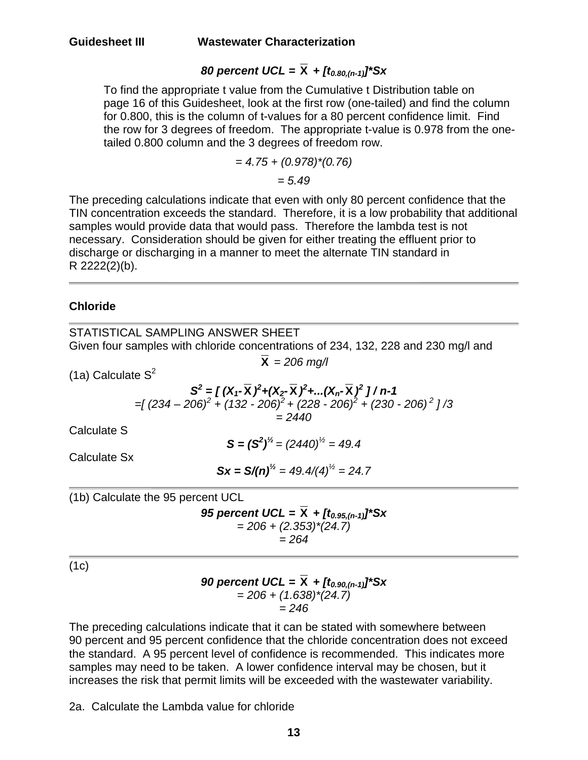# *80 percent UCL =*  $\bar{X}$  *+*  $[t_{0.80,(n-1)}]$ *\*Sx*

To find the appropriate t value from the Cumulative t Distribution table on page 16 of this Guidesheet, look at the first row (one-tailed) and find the column for 0.800, this is the column of t-values for a 80 percent confidence limit. Find the row for 3 degrees of freedom. The appropriate t-value is 0.978 from the onetailed 0.800 column and the 3 degrees of freedom row.

$$
=4.75+(0.978)^*(0.76)
$$

*= 5.49* 

The preceding calculations indicate that even with only 80 percent confidence that the TIN concentration exceeds the standard. Therefore, it is a low probability that additional samples would provide data that would pass. Therefore the lambda test is not necessary. Consideration should be given for either treating the effluent prior to discharge or discharging in a manner to meet the alternate TIN standard in R 2222(2)(b).

### **Chloride**

| STATISTICAL SAMPLING ANSWER SHEET                                                                                                                                                                                             |
|-------------------------------------------------------------------------------------------------------------------------------------------------------------------------------------------------------------------------------|
| Given four samples with chloride concentrations of 234, 132, 228 and 230 mg/l and                                                                                                                                             |
| $\overline{\mathbf{X}}$ = 206 mg/l                                                                                                                                                                                            |
| $(1a)$ Calculate S <sup>2</sup>                                                                                                                                                                                               |
| $S^{2} = [(X_{1} - \overline{X})^{2} + (X_{2} - \overline{X})^{2} +  (X_{n} - \overline{X})^{2}] / n-1$<br>$=$ [(234 – 206) <sup>2</sup> + (132 - 206) <sup>2</sup> + (228 - 206) <sup>2</sup> + (230 - 206) <sup>2</sup> 1/3 |
| $= 2440$                                                                                                                                                                                                                      |
| Calculate S                                                                                                                                                                                                                   |
| $S = (S^2)^{1/2} = (2440)^{1/2} = 49.4$                                                                                                                                                                                       |
| Calculate Sx                                                                                                                                                                                                                  |
| $Sx = S/(n)^{1/2} = 49.4/(4)^{1/2} = 24.7$                                                                                                                                                                                    |
| (1b) Calculate the 95 percent UCL                                                                                                                                                                                             |
| 95 percent UCL = $X + [t_{0.95,(n-1)}]^*Sx$                                                                                                                                                                                   |
| $= 206 + (2.353)^*(24.7)$                                                                                                                                                                                                     |
| $= 264$                                                                                                                                                                                                                       |
| (1c)                                                                                                                                                                                                                          |
| 90 percent UCL = $\bar{X}$ + $[t_{0.90,(n-1)}]$ <sup>*</sup> Sx                                                                                                                                                               |

The preceding calculations indicate that it can be stated with somewhere between 90 percent and 95 percent confidence that the chloride concentration does not exceed the standard. A 95 percent level of confidence is recommended. This indicates more samples may need to be taken. A lower confidence interval may be chosen, but it increases the risk that permit limits will be exceeded with the wastewater variability.

*= 206 + (1.638)\*(24.7) = 246* 

2a. Calculate the Lambda value for chloride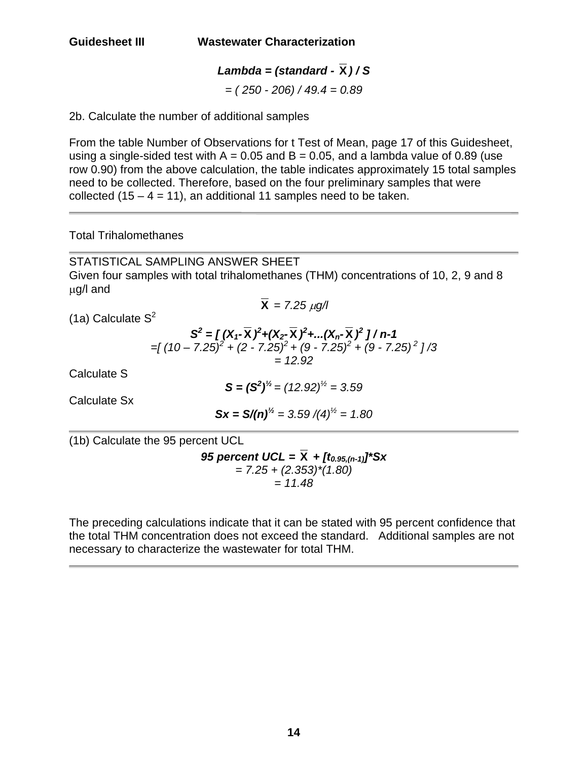# *Lambda = (standard -*  $\overline{X}$ *)/S*

*= ( 250 - 206) / 49.4 = 0.89* 

2b. Calculate the number of additional samples

From the table Number of Observations for t Test of Mean, page 17 of this Guidesheet, using a single-sided test with  $A = 0.05$  and  $B = 0.05$ , and a lambda value of 0.89 (use row 0.90) from the above calculation, the table indicates approximately 15 total samples need to be collected. Therefore, based on the four preliminary samples that were collected  $(15 - 4 = 11)$ , an additional 11 samples need to be taken.

### Total Trihalomethanes

STATISTICAL SAMPLING ANSWER SHEET Given four samples with total trihalomethanes (THM) concentrations of 10, 2, 9 and 8 µg/l and  $\bar{X} = 7.25 \mu g/l$ 

(1a) Calculate  $S^2$ 

$$
S^{2} = \int (X_{1} - \overline{X})^{2} + (X_{2} - \overline{X})^{2} + \dots (X_{n} - \overline{X})^{2} \int / n - 1
$$
  
=  $\int (10 - 7.25)^{2} + (2 - 7.25)^{2} + (9 - 7.25)^{2} + (9 - 7.25)^{2} \int / 3$   
= 12.92

Calculate S

L

 $S = (S^2)^{1/2} = (12.92)^{1/2} = 3.59$ 

Calculate Sx

$$
Sx = S/(n)^{1/2} = 3.59/(4)^{1/2} = 1.80
$$

(1b) Calculate the 95 percent UCL

*95 percent UCL =*  $\overline{X}$  *+*  $[t_{0.95,(n-1)}$ *<sup>\*</sup>Sx = 7.25 + (2.353)\*(1.80) = 11.48* 

The preceding calculations indicate that it can be stated with 95 percent confidence that the total THM concentration does not exceed the standard. Additional samples are not necessary to characterize the wastewater for total THM.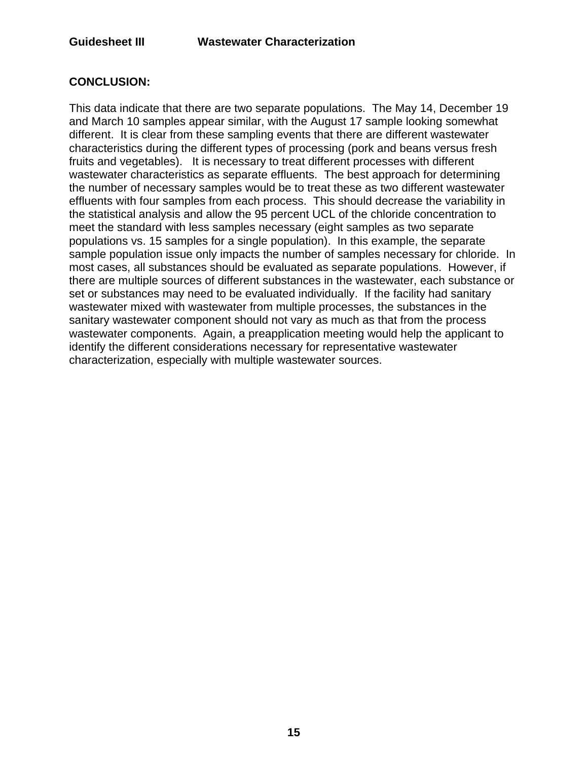### **CONCLUSION:**

This data indicate that there are two separate populations. The May 14, December 19 and March 10 samples appear similar, with the August 17 sample looking somewhat different. It is clear from these sampling events that there are different wastewater characteristics during the different types of processing (pork and beans versus fresh fruits and vegetables). It is necessary to treat different processes with different wastewater characteristics as separate effluents. The best approach for determining the number of necessary samples would be to treat these as two different wastewater effluents with four samples from each process. This should decrease the variability in the statistical analysis and allow the 95 percent UCL of the chloride concentration to meet the standard with less samples necessary (eight samples as two separate populations vs. 15 samples for a single population). In this example, the separate sample population issue only impacts the number of samples necessary for chloride. In most cases, all substances should be evaluated as separate populations. However, if there are multiple sources of different substances in the wastewater, each substance or set or substances may need to be evaluated individually. If the facility had sanitary wastewater mixed with wastewater from multiple processes, the substances in the sanitary wastewater component should not vary as much as that from the process wastewater components. Again, a preapplication meeting would help the applicant to identify the different considerations necessary for representative wastewater characterization, especially with multiple wastewater sources.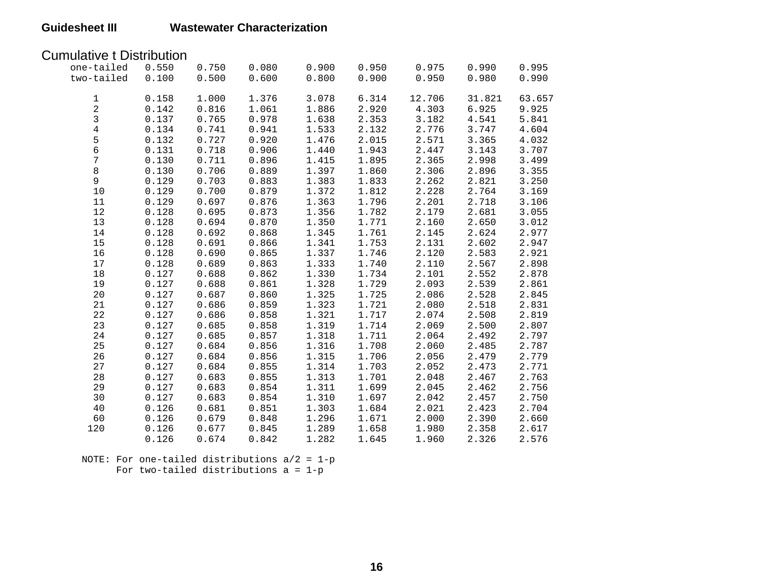### Cumulative t Distribution

| one-tailed     | 0.550 | 0.750 | 0.080                              | 0.900 | 0.950              | 0.975  | 0.990  | 0.995  |
|----------------|-------|-------|------------------------------------|-------|--------------------|--------|--------|--------|
| two-tailed     | 0.100 | 0.500 | 0.600                              | 0.800 | 0.900              | 0.950  | 0.980  | 0.990  |
|                |       |       |                                    |       |                    |        |        |        |
| $\mathbf{1}$   | 0.158 | 1.000 | 1.376                              | 3.078 | 6.314              | 12.706 | 31.821 | 63.657 |
| $\overline{a}$ | 0.142 | 0.816 | 1.061                              | 1.886 | 2.920              | 4.303  | 6.925  | 9.925  |
| $\mathbf{3}$   | 0.137 | 0.765 | 0.978                              | 1.638 | 2.353              | 3.182  | 4.541  | 5.841  |
| $\overline{4}$ | 0.134 | 0.741 | 0.941                              | 1.533 | 2.132              | 2.776  | 3.747  | 4.604  |
|                | 0.132 | 0.727 | 0.920                              | 1.476 | 2.015              | 2.571  | 3.365  | 4.032  |
| $\frac{5}{6}$  | 0.131 | 0.718 | 0.906                              | 1.440 | 1.943              | 2.447  | 3.143  | 3.707  |
| $\overline{7}$ | 0.130 | 0.711 | 0.896                              | 1.415 | 1.895              | 2.365  | 2.998  | 3.499  |
| 8              | 0.130 | 0.706 | 0.889                              | 1.397 | 1.860              | 2.306  | 2.896  | 3.355  |
| $\overline{9}$ | 0.129 | 0.703 | 0.883                              | 1.383 | 1.833              | 2.262  | 2.821  | 3.250  |
| 10             | 0.129 | 0.700 | 0.879                              | 1.372 | 1.812              | 2.228  | 2.764  | 3.169  |
| 11             | 0.129 | 0.697 | 0.876                              | 1.363 | 1.796              | 2.201  | 2.718  | 3.106  |
| 12             | 0.128 | 0.695 | 0.873                              | 1.356 | 1.782              | 2.179  | 2.681  | 3.055  |
| 13             | 0.128 | 0.694 | 0.870                              | 1.350 | 1.771              | 2.160  | 2.650  | 3.012  |
| 14             | 0.128 | 0.692 | 0.868                              | 1.345 | 1.761              | 2.145  | 2.624  | 2.977  |
| 15             | 0.128 | 0.691 | 0.866                              | 1.341 | 1.753              | 2.131  | 2.602  | 2.947  |
| 16             | 0.128 | 0.690 | 0.865                              | 1.337 | 1.746              | 2.120  | 2.583  | 2.921  |
| 17             | 0.128 | 0.689 | 0.863                              | 1.333 | 1.740              | 2.110  | 2.567  | 2.898  |
| $18\,$         | 0.127 | 0.688 | 0.862                              | 1.330 | 1.734              | 2.101  | 2.552  | 2.878  |
| 19             | 0.127 | 0.688 | 0.861                              | 1.328 | 1.729              | 2.093  | 2.539  | 2.861  |
| 20             | 0.127 | 0.687 | 0.860                              | 1.325 | 1.725              | 2.086  | 2.528  | 2.845  |
| 21             | 0.127 | 0.686 |                                    | 1.323 | 1.721              | 2.080  | 2.518  | 2.831  |
| 22             | 0.127 | 0.686 | $0.859$<br>0.858<br>0.858<br>0.857 | 1.321 | 1.717              | 2.074  | 2.508  | 2.819  |
| 23             | 0.127 | 0.685 |                                    | 1.319 | 1.714              | 2.069  | 2.500  | 2.807  |
| 24             | 0.127 | 0.685 |                                    | 1.318 | 1.711              | 2.064  | 2.492  | 2.797  |
| 25             | 0.127 | 0.684 | 0.856                              | 1.316 | $1.708$<br>$1.706$ | 2.060  | 2.485  | 2.787  |
| 26             | 0.127 | 0.684 | 0.856                              | 1.315 |                    | 2.056  | 2.479  | 2.779  |
| 27             | 0.127 | 0.684 | 0.855                              | 1.314 | 1.703              | 2.052  | 2.473  | 2.771  |
| 28             | 0.127 | 0.683 | 0.855                              | 1.313 | 1.701              | 2.048  | 2.467  | 2.763  |
| 29             | 0.127 | 0.683 | 0.854                              | 1.311 | 1.699              | 2.045  | 2.462  | 2.756  |
| 30             | 0.127 | 0.683 | 0.854                              | 1.310 | 1.697              | 2.042  | 2.457  | 2.750  |
| 40             | 0.126 | 0.681 | 0.851                              | 1.303 | 1.684              | 2.021  | 2.423  | 2.704  |
| 60             | 0.126 | 0.679 | 0.848                              | 1.296 | 1.671              | 2.000  | 2.390  | 2.660  |
| 120            | 0.126 | 0.677 | 0.845                              | 1.289 | 1.658              | 1.980  | 2.358  | 2.617  |
|                | 0.126 | 0.674 | 0.842                              | 1.282 | 1.645              | 1.960  | 2.326  | 2.576  |

 NOTE: For one-tailed distributions a/2 = 1-p For two-tailed distributions a = 1-p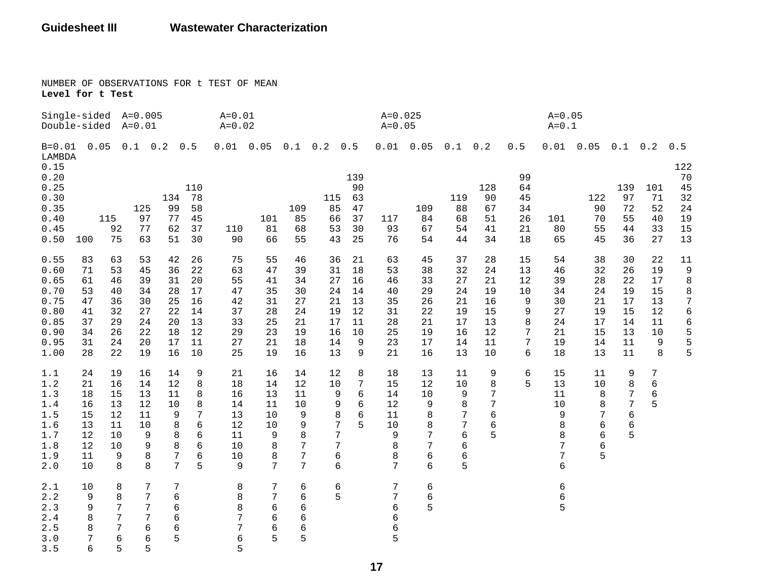NUMBER OF OBSERVATIONS FOR t TEST OF MEAN **Level for t Test** 

| Single-sided A=0.005<br>Double-sided A=0.01                                  |                                                          |                                                          |                                                          |                                                          |                                                          | $A = 0.01$<br>$A = 0.02$                                 |                                                          |                                                          |                                                               |                                                        | $A = 0.025$<br>$A = 0.05$                                      |                                                          |                                                          |                                                          |                                                    | $A = 0.05$<br>$A = 0.1$                                  |                                                          |                                                          |                                                        |                                                                                                |
|------------------------------------------------------------------------------|----------------------------------------------------------|----------------------------------------------------------|----------------------------------------------------------|----------------------------------------------------------|----------------------------------------------------------|----------------------------------------------------------|----------------------------------------------------------|----------------------------------------------------------|---------------------------------------------------------------|--------------------------------------------------------|----------------------------------------------------------------|----------------------------------------------------------|----------------------------------------------------------|----------------------------------------------------------|----------------------------------------------------|----------------------------------------------------------|----------------------------------------------------------|----------------------------------------------------------|--------------------------------------------------------|------------------------------------------------------------------------------------------------|
| $B = 0.01$<br>LAMBDA                                                         |                                                          |                                                          | $0.05$ $0.1$ $0.2$ $0.5$                                 |                                                          |                                                          |                                                          | $0.01$ $0.05$ $0.1$ $0.2$                                |                                                          |                                                               | 0.5                                                    |                                                                | $0.01$ 0.05                                              | $0.1 \quad 0.2$                                          |                                                          | 0.5                                                |                                                          | $0.01$ 0.05                                              | $0.1 \quad 0.2$                                          |                                                        | 0.5                                                                                            |
| 0.15<br>0.20<br>0.25<br>0.30<br>0.35<br>0.40<br>0.45<br>0.50                 | 100                                                      | 115<br>92<br>75                                          | 125<br>97<br>77<br>63                                    | 134<br>99<br>77<br>62<br>51                              | 110<br>78<br>58<br>45<br>37<br>30                        | 110<br>90                                                | 101<br>81<br>66                                          | 109<br>85<br>68<br>55                                    | 115<br>85<br>66<br>53<br>43                                   | 139<br>90<br>63<br>47<br>37<br>30<br>25                | 117<br>93<br>76                                                | 109<br>84<br>67<br>54                                    | 119<br>88<br>68<br>54<br>44                              | 128<br>90<br>67<br>51<br>41<br>34                        | 99<br>64<br>45<br>34<br>26<br>21<br>18             | 101<br>80<br>65                                          | 122<br>90<br>70<br>55<br>45                              | 139<br>97<br>72<br>55<br>44<br>36                        | 101<br>71<br>52<br>40<br>33<br>27                      | 122<br>70<br>45<br>32<br>24<br>19<br>15<br>13                                                  |
| 0.55<br>0.60<br>0.65<br>0.70<br>0.75<br>0.80<br>0.85<br>0.90<br>0.95<br>1.00 | 83<br>71<br>61<br>53<br>47<br>41<br>37<br>34<br>31<br>28 | 63<br>53<br>46<br>40<br>36<br>32<br>29<br>26<br>24<br>22 | 53<br>45<br>39<br>34<br>30<br>27<br>24<br>22<br>20<br>19 | 42<br>36<br>31<br>28<br>25<br>22<br>20<br>18<br>17<br>16 | 26<br>22<br>20<br>17<br>16<br>14<br>13<br>12<br>11<br>10 | 75<br>63<br>55<br>47<br>42<br>37<br>33<br>29<br>27<br>25 | 55<br>47<br>41<br>35<br>31<br>28<br>25<br>23<br>21<br>19 | 46<br>39<br>34<br>30<br>27<br>24<br>21<br>19<br>18<br>16 | 36<br>31<br>27<br>24<br>21<br>19<br>17<br>16<br>14<br>13      | 21<br>18<br>16<br>14<br>13<br>12<br>11<br>10<br>9<br>9 | 63<br>53<br>46<br>40<br>35<br>31<br>28<br>25<br>23<br>21       | 45<br>38<br>33<br>29<br>26<br>22<br>21<br>19<br>17<br>16 | 37<br>32<br>27<br>24<br>21<br>19<br>17<br>16<br>14<br>13 | 28<br>24<br>21<br>19<br>16<br>15<br>13<br>12<br>11<br>10 | 15<br>13<br>12<br>10<br>9<br>9<br>8<br>7<br>7<br>6 | 54<br>46<br>39<br>34<br>30<br>27<br>24<br>21<br>19<br>18 | 38<br>32<br>28<br>24<br>21<br>19<br>17<br>15<br>14<br>13 | 30<br>26<br>22<br>19<br>17<br>15<br>14<br>13<br>11<br>11 | 22<br>19<br>17<br>15<br>13<br>12<br>11<br>10<br>9<br>8 | $11\,$<br>9<br>$\,8\,$<br>$\,8\,$<br>$\overline{7}$<br>$\sqrt{6}$<br>$\epsilon$<br>5<br>5<br>5 |
| 1.1<br>1.2<br>1.3<br>1.4<br>1.5<br>1.6<br>$1.7$<br>1.8<br>1.9<br>2.0         | 24<br>21<br>18<br>16<br>15<br>13<br>12<br>12<br>11<br>10 | 19<br>16<br>15<br>13<br>12<br>11<br>10<br>10<br>9<br>8   | 16<br>14<br>13<br>12<br>11<br>10<br>9<br>9<br>8<br>8     | 14<br>12<br>11<br>10<br>9<br>8<br>8<br>8<br>7<br>7       | 9<br>8<br>8<br>8<br>7<br>6<br>6<br>6<br>6<br>5           | 21<br>18<br>16<br>14<br>13<br>12<br>11<br>10<br>10<br>9  | 16<br>14<br>13<br>11<br>10<br>10<br>9<br>8<br>8<br>7     | 14<br>12<br>11<br>10<br>9<br>9<br>8<br>7<br>7<br>7       | 12<br>10<br>9<br>9<br>8<br>7<br>$\overline{7}$<br>7<br>6<br>6 | 8<br>7<br>6<br>6<br>6<br>5                             | 18<br>15<br>14<br>12<br>11<br>10<br>$\mathsf 9$<br>8<br>8<br>7 | 13<br>12<br>10<br>9<br>8<br>8<br>7<br>7<br>6<br>6        | 11<br>10<br>9<br>8<br>7<br>7<br>6<br>6<br>6<br>5         | 9<br>8<br>7<br>7<br>$\epsilon$<br>6<br>5                 | 6<br>5                                             | 15<br>13<br>11<br>10<br>9<br>8<br>8<br>7<br>7<br>6       | 11<br>10<br>8<br>8<br>7<br>6<br>6<br>6<br>5              | 9<br>8<br>7<br>7<br>6<br>6<br>5                          | 7<br>6<br>$\epsilon$<br>5                              |                                                                                                |
| 2.1<br>2.2<br>2.3<br>$2.4\,$<br>2.5<br>3.0<br>3.5                            | 10<br>9<br>9<br>8<br>8<br>7<br>6                         | 8<br>8<br>7<br>7<br>7<br>$6\,$<br>5                      | 7<br>7<br>7<br>7<br>6<br>6<br>5                          | $7\phantom{.}$<br>6<br>6<br>6<br>6<br>5                  |                                                          | 8<br>8<br>8<br>7<br>7<br>6<br>5                          | 7<br>7<br>6<br>6<br>6<br>5                               | 6<br>6<br>6<br>б<br>6<br>5                               | 6<br>5                                                        |                                                        | 7<br>7<br>6<br>6<br>б<br>5                                     | 6<br>6<br>5                                              |                                                          |                                                          |                                                    | 6<br>6<br>5                                              |                                                          |                                                          |                                                        |                                                                                                |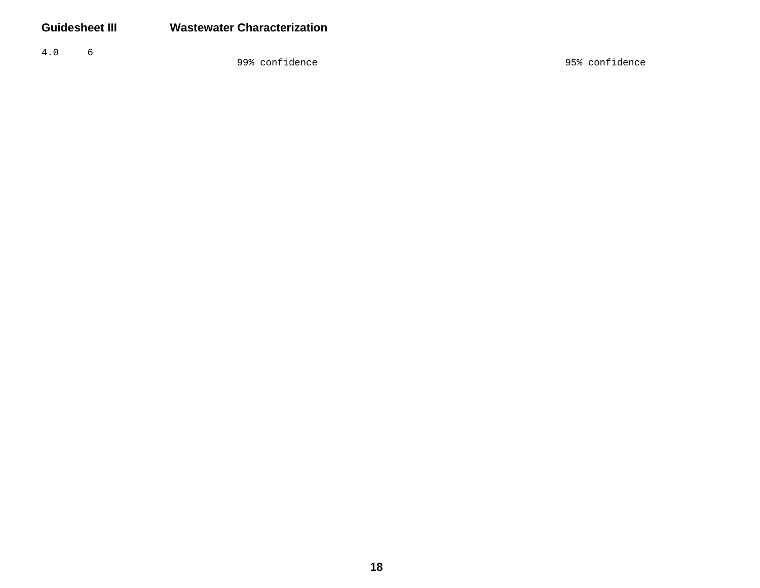$4.0\,$  $\sqrt{6}$ 

99% confidence 95% confidence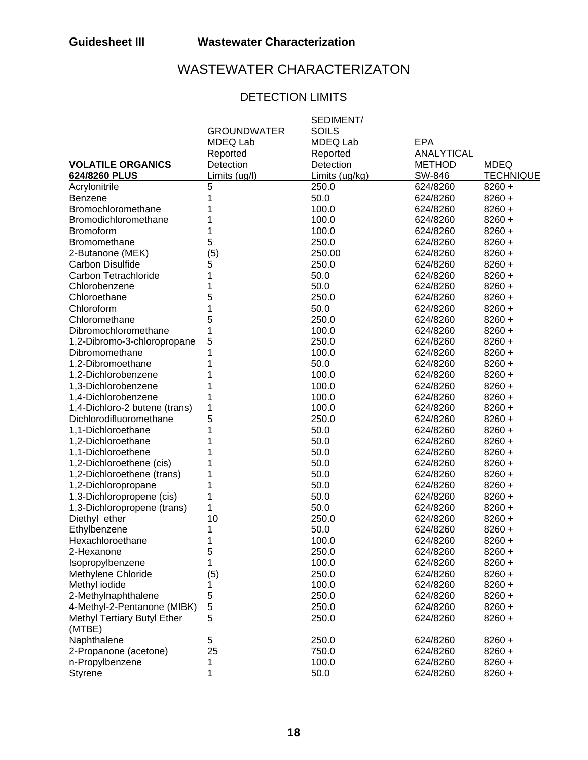# WASTEWATER CHARACTERIZATON

## DETECTION LIMITS

|                               |                    | SEDIMENT/      |               |                  |
|-------------------------------|--------------------|----------------|---------------|------------------|
|                               | <b>GROUNDWATER</b> | <b>SOILS</b>   |               |                  |
|                               | MDEQ Lab           | MDEQ Lab       | <b>EPA</b>    |                  |
|                               | Reported           | Reported       | ANALYTICAL    |                  |
| <b>VOLATILE ORGANICS</b>      | Detection          | Detection      | <b>METHOD</b> | <b>MDEQ</b>      |
| 624/8260 PLUS                 | Limits (ug/l)      | Limits (ug/kg) | SW-846        | <b>TECHNIQUE</b> |
| Acrylonitrile                 | 5                  | 250.0          | 624/8260      | $8260 +$         |
| <b>Benzene</b>                | 1                  | 50.0           | 624/8260      | $8260 +$         |
| Bromochloromethane            |                    | 100.0          | 624/8260      | $8260 +$         |
| Bromodichloromethane          |                    | 100.0          | 624/8260      | $8260 +$         |
| <b>Bromoform</b>              | 1                  | 100.0          | 624/8260      | $8260 +$         |
| <b>Bromomethane</b>           | 5                  | 250.0          | 624/8260      | $8260 +$         |
| 2-Butanone (MEK)              | (5)                | 250.00         | 624/8260      | $8260 +$         |
| <b>Carbon Disulfide</b>       | 5                  | 250.0          | 624/8260      | $8260 +$         |
| Carbon Tetrachloride          | 1                  | 50.0           | 624/8260      | $8260 +$         |
| Chlorobenzene                 |                    | 50.0           | 624/8260      | $8260 +$         |
| Chloroethane                  | 5                  | 250.0          | 624/8260      | $8260 +$         |
| Chloroform                    | 1                  | 50.0           | 624/8260      | $8260 +$         |
| Chloromethane                 | 5                  | 250.0          | 624/8260      | $8260 +$         |
| Dibromochloromethane          | 1                  | 100.0          | 624/8260      | $8260 +$         |
| 1,2-Dibromo-3-chloropropane   | 5                  | 250.0          | 624/8260      | $8260 +$         |
| Dibromomethane                | 1                  | 100.0          | 624/8260      | $8260 +$         |
| 1,2-Dibromoethane             | 1                  | 50.0           | 624/8260      | $8260 +$         |
| 1,2-Dichlorobenzene           | 1                  | 100.0          | 624/8260      | $8260 +$         |
| 1,3-Dichlorobenzene           | 1                  | 100.0          | 624/8260      | $8260 +$         |
| 1,4-Dichlorobenzene           | 1                  | 100.0          | 624/8260      | $8260 +$         |
| 1,4-Dichloro-2 butene (trans) | 1                  | 100.0          | 624/8260      | $8260 +$         |
| Dichlorodifluoromethane       | 5                  | 250.0          | 624/8260      | $8260 +$         |
| 1,1-Dichloroethane            | 1                  | 50.0           | 624/8260      | $8260 +$         |
| 1,2-Dichloroethane            |                    | 50.0           | 624/8260      | $8260 +$         |
| 1,1-Dichloroethene            |                    | 50.0           | 624/8260      | $8260 +$         |
| 1,2-Dichloroethene (cis)      |                    | 50.0           | 624/8260      | $8260 +$         |
| 1,2-Dichloroethene (trans)    |                    | 50.0           | 624/8260      | $8260 +$         |
| 1,2-Dichloropropane           | 1                  | 50.0           | 624/8260      | $8260 +$         |
| 1,3-Dichloropropene (cis)     | 1                  | 50.0           | 624/8260      | $8260 +$         |
| 1,3-Dichloropropene (trans)   | 1                  | 50.0           | 624/8260      | $8260 +$         |
| Diethyl ether                 | 10                 | 250.0          | 624/8260      | $8260 +$         |
| Ethylbenzene                  | 1                  | 50.0           | 624/8260      | $8260 +$         |
| Hexachloroethane              |                    | 100.0          | 624/8260      | $8260 +$         |
| 2-Hexanone                    | 5                  | 250.0          | 624/8260      | $8260 +$         |
| Isopropylbenzene              | 1                  | 100.0          | 624/8260      | 8260+            |
| Methylene Chloride            | (5)                | 250.0          | 624/8260      | $8260 +$         |
| Methyl iodide                 | 1                  | 100.0          | 624/8260      | $8260 +$         |
| 2-Methylnaphthalene           | 5                  | 250.0          | 624/8260      | $8260 +$         |
| 4-Methyl-2-Pentanone (MIBK)   | 5                  | 250.0          | 624/8260      | $8260 +$         |
| Methyl Tertiary Butyl Ether   | 5                  | 250.0          | 624/8260      | $8260 +$         |
| (MTBE)                        |                    |                |               |                  |
| Naphthalene                   | 5                  | 250.0          | 624/8260      | $8260 +$         |
| 2-Propanone (acetone)         | 25                 | 750.0          | 624/8260      | $8260 +$         |
| n-Propylbenzene               | 1                  | 100.0          | 624/8260      | $8260 +$         |
| <b>Styrene</b>                | 1                  | 50.0           | 624/8260      | $8260 +$         |
|                               |                    |                |               |                  |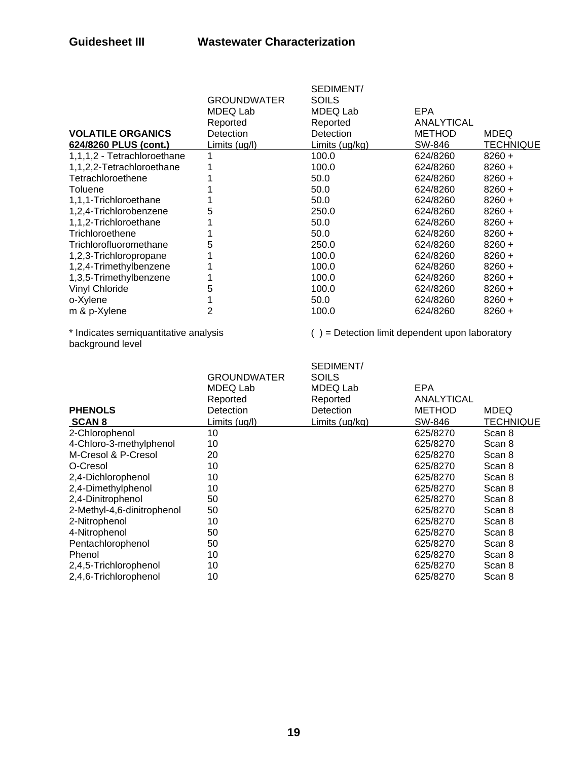|                             | <b>GROUNDWATER</b> | SEDIMENT/<br><b>SOILS</b> |               |                  |
|-----------------------------|--------------------|---------------------------|---------------|------------------|
|                             | MDEQ Lab           | MDEQ Lab                  | <b>EPA</b>    |                  |
|                             | Reported           | Reported                  | ANALYTICAL    |                  |
| <b>VOLATILE ORGANICS</b>    | Detection          | Detection                 | <b>METHOD</b> | <b>MDEQ</b>      |
| 624/8260 PLUS (cont.)       | Limits (ug/l)      | Limits (ug/kg)            | SW-846        | <b>TECHNIQUE</b> |
| 1,1,1,2 - Tetrachloroethane |                    | 100.0                     | 624/8260      | $8260 +$         |
| 1,1,2,2-Tetrachloroethane   |                    | 100.0                     | 624/8260      | $8260 +$         |
| Tetrachloroethene           |                    | 50.0                      | 624/8260      | $8260 +$         |
| <b>Toluene</b>              |                    | 50.0                      | 624/8260      | $8260 +$         |
| 1,1,1-Trichloroethane       |                    | 50.0                      | 624/8260      | $8260 +$         |
| 1,2,4-Trichlorobenzene      | 5                  | 250.0                     | 624/8260      | $8260 +$         |
| 1,1,2-Trichloroethane       |                    | 50.0                      | 624/8260      | $8260 +$         |
| Trichloroethene             |                    | 50.0                      | 624/8260      | $8260 +$         |
| Trichlorofluoromethane      | 5                  | 250.0                     | 624/8260      | $8260 +$         |
| 1,2,3-Trichloropropane      |                    | 100.0                     | 624/8260      | $8260 +$         |
| 1,2,4-Trimethylbenzene      |                    | 100.0                     | 624/8260      | $8260 +$         |
| 1,3,5-Trimethylbenzene      |                    | 100.0                     | 624/8260      | $8260 +$         |
| <b>Vinyl Chloride</b>       | 5                  | 100.0                     | 624/8260      | $8260 +$         |
| o-Xylene                    |                    | 50.0                      | 624/8260      | $8260 +$         |
| m & p-Xylene                | 2                  | 100.0                     | 624/8260      | $8260 +$         |
|                             |                    |                           |               |                  |

background level

\* Indicates semiquantitative analysis ( ) = Detection limit dependent upon laboratory

| <b>PHENOLS</b>             | <b>GROUNDWATER</b><br>MDEQ Lab<br>Reported<br>Detection | SEDIMENT/<br><b>SOILS</b><br>MDEQ Lab<br>Reported<br>Detection | EPA<br>ANALYTICAL<br><b>METHOD</b> | <b>MDEQ</b>      |
|----------------------------|---------------------------------------------------------|----------------------------------------------------------------|------------------------------------|------------------|
| <b>SCAN 8</b>              | Limits (ug/l)                                           | <u>Limits (ug/kg)</u>                                          | SW-846                             | <b>TECHNIQUE</b> |
| 2-Chlorophenol             | 10                                                      |                                                                | 625/8270                           | Scan 8           |
| 4-Chloro-3-methylphenol    | 10                                                      |                                                                | 625/8270                           | Scan 8           |
| M-Cresol & P-Cresol        | 20                                                      |                                                                | 625/8270                           | Scan 8           |
| O-Cresol                   | 10                                                      |                                                                | 625/8270                           | Scan 8           |
| 2,4-Dichlorophenol         | 10                                                      |                                                                | 625/8270                           | Scan 8           |
| 2,4-Dimethylphenol         | 10                                                      |                                                                | 625/8270                           | Scan 8           |
| 2,4-Dinitrophenol          | 50                                                      |                                                                | 625/8270                           | Scan 8           |
| 2-Methyl-4,6-dinitrophenol | 50                                                      |                                                                | 625/8270                           | Scan 8           |
| 2-Nitrophenol              | 10                                                      |                                                                | 625/8270                           | Scan 8           |
| 4-Nitrophenol              | 50                                                      |                                                                | 625/8270                           | Scan 8           |
| Pentachlorophenol          | 50                                                      |                                                                | 625/8270                           | Scan 8           |
| Phenol                     | 10                                                      |                                                                | 625/8270                           | Scan 8           |
| 2,4,5-Trichlorophenol      | 10                                                      |                                                                | 625/8270                           | Scan 8           |
| 2,4,6-Trichlorophenol      | 10                                                      |                                                                | 625/8270                           | Scan 8           |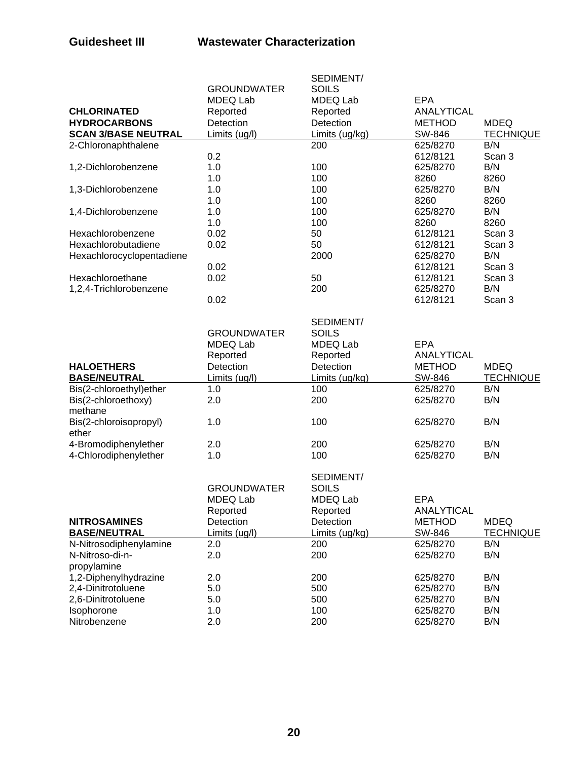|                            |                    | SEDIMENT/      |                    |                         |
|----------------------------|--------------------|----------------|--------------------|-------------------------|
|                            | <b>GROUNDWATER</b> | <b>SOILS</b>   |                    |                         |
|                            | MDEQ Lab           | MDEQ Lab       | <b>EPA</b>         |                         |
| <b>CHLORINATED</b>         | Reported           | Reported       | ANALYTICAL         |                         |
| <b>HYDROCARBONS</b>        | Detection          | Detection      | <b>METHOD</b>      | <b>MDEQ</b>             |
| <b>SCAN 3/BASE NEUTRAL</b> | Limits (ug/l)      | Limits (ug/kg) | SW-846             | <b>TECHNIQUE</b>        |
| 2-Chloronaphthalene        |                    | 200            | 625/8270           | B/N                     |
|                            | 0.2                |                | 612/8121           | Scan 3                  |
| 1,2-Dichlorobenzene        | 1.0                | 100            | 625/8270           | B/N                     |
|                            | 1.0                | 100            | 8260               | 8260                    |
| 1,3-Dichlorobenzene        | 1.0                | 100            | 625/8270           | B/N                     |
|                            | 1.0                | 100            | 8260               | 8260                    |
| 1,4-Dichlorobenzene        | 1.0                | 100            | 625/8270           | B/N                     |
|                            | 1.0                | 100            | 8260               | 8260                    |
| Hexachlorobenzene          | 0.02               | 50             | 612/8121           | Scan 3                  |
| Hexachlorobutadiene        | 0.02               | 50             | 612/8121           | Scan 3                  |
| Hexachlorocyclopentadiene  |                    | 2000           | 625/8270           | B/N                     |
|                            | 0.02               |                | 612/8121           | Scan 3                  |
| Hexachloroethane           | 0.02               | 50             | 612/8121           | Scan 3                  |
| 1,2,4-Trichlorobenzene     |                    | 200            | 625/8270           | B/N                     |
|                            | 0.02               |                | 612/8121           | Scan 3                  |
|                            |                    |                |                    |                         |
|                            |                    | SEDIMENT/      |                    |                         |
|                            | <b>GROUNDWATER</b> | <b>SOILS</b>   |                    |                         |
|                            | MDEQ Lab           | MDEQ Lab       | <b>EPA</b>         |                         |
|                            | Reported           | Reported       | ANALYTICAL         |                         |
| <b>HALOETHERS</b>          | Detection          | Detection      | <b>METHOD</b>      | <b>MDEQ</b>             |
| <b>BASE/NEUTRAL</b>        | Limits (ug/l)      | Limits (ug/kg) | SW-846             | <b>TECHNIQUE</b>        |
| Bis(2-chloroethyl)ether    | 1.0                | 100            | 625/8270           | B/N                     |
| Bis(2-chloroethoxy)        | 2.0                | 200            | 625/8270           | B/N                     |
| methane                    |                    |                |                    |                         |
| Bis(2-chloroisopropyl)     | 1.0                | 100            | 625/8270           | B/N                     |
| ether                      |                    |                |                    |                         |
| 4-Bromodiphenylether       | 2.0                | 200            | 625/8270           | B/N                     |
| 4-Chlorodiphenylether      | 1.0                | 100            | 625/8270           | B/N                     |
|                            |                    | SEDIMENT/      |                    |                         |
|                            | <b>GROUNDWATER</b> | <b>SOILS</b>   |                    |                         |
|                            | MDEQ Lab           | MDEQ Lab       | EPA                |                         |
|                            | Reported           | Reported       | ANALYTICAL         |                         |
| <b>NITROSAMINES</b>        | Detection          | Detection      | <b>METHOD</b>      | <b>MDEQ</b>             |
| <b>BASE/NEUTRAL</b>        |                    | Limits (ug/kg) |                    |                         |
| N-Nitrosodiphenylamine     | Limits (ug/l)      | 200            | SW-846<br>625/8270 | <b>TECHNIQUE</b><br>B/N |
| N-Nitroso-di-n-            | 2.0<br>2.0         | 200            |                    | B/N                     |
|                            |                    |                | 625/8270           |                         |
| propylamine                |                    |                |                    |                         |
| 1,2-Diphenylhydrazine      | 2.0                | 200            | 625/8270           | B/N                     |
| 2,4-Dinitrotoluene         | 5.0                | 500            | 625/8270           | B/N                     |
| 2,6-Dinitrotoluene         | 5.0                | 500            | 625/8270           | B/N                     |
| Isophorone                 | 1.0                | 100            | 625/8270           | B/N                     |
| Nitrobenzene               | 2.0                | 200            | 625/8270           | B/N                     |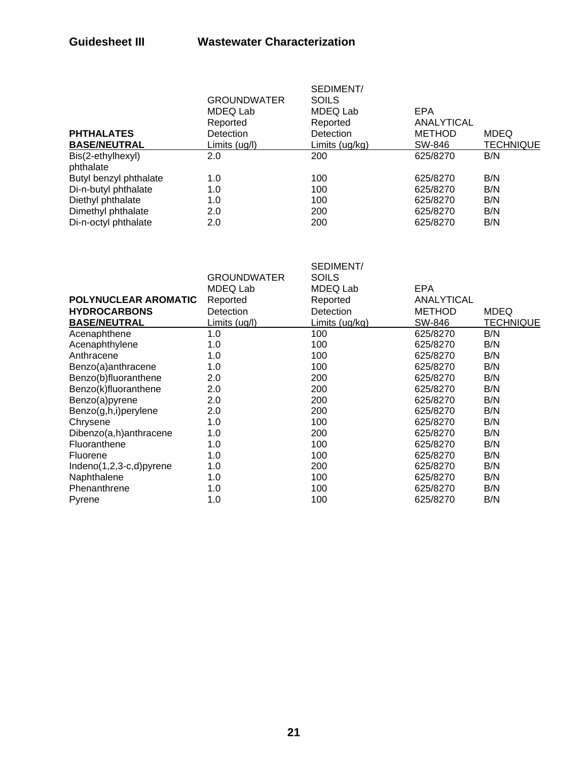| <b>PHTHALATES</b>              | <b>GROUNDWATER</b><br>MDEQ Lab<br>Reported<br><b>Detection</b> | SEDIMENT/<br>SOILS<br>MDEQ Lab<br>Reported<br><b>Detection</b> | EPA<br>ANALYTICAL<br><b>METHOD</b> | <b>MDEQ</b>      |
|--------------------------------|----------------------------------------------------------------|----------------------------------------------------------------|------------------------------------|------------------|
| <b>BASE/NEUTRAL</b>            | Limits (ug/l)                                                  | Limits (ug/kg)                                                 | SW-846                             | <b>TECHNIQUE</b> |
| Bis(2-ethylhexyl)<br>phthalate | 2.0                                                            | 200                                                            | 625/8270                           | B/N              |
| Butyl benzyl phthalate         | 1.0                                                            | 100                                                            | 625/8270                           | B/N              |
| Di-n-butyl phthalate           | 1.0                                                            | 100                                                            | 625/8270                           | B/N              |
| Diethyl phthalate              | 1.0                                                            | 100                                                            | 625/8270                           | B/N              |
| Dimethyl phthalate             | 2.0                                                            | 200                                                            | 625/8270                           | B/N              |
| Di-n-octyl phthalate           | 2.0                                                            | 200                                                            | 625/8270                           | B/N              |
|                                |                                                                |                                                                |                                    |                  |

|                             | <b>GROUNDWATER</b><br>MDEQ Lab | SEDIMENT/<br><b>SOILS</b><br>MDEQ Lab | EPA           |             |
|-----------------------------|--------------------------------|---------------------------------------|---------------|-------------|
| POLYNUCLEAR AROMATIC        | Reported                       | Reported                              | ANALYTICAL    |             |
| <b>HYDROCARBONS</b>         | Detection                      | Detection                             | <b>METHOD</b> | <b>MDEQ</b> |
| <b>BASE/NEUTRAL</b>         | Limits (ug/l)                  | <u>Limits (ug/kg)</u>                 | SW-846        | TECHNIQUE   |
| Acenaphthene                | 1.0                            | 100                                   | 625/8270      | B/N         |
| Acenaphthylene              | 1.0                            | 100                                   | 625/8270      | B/N         |
| Anthracene                  | 1.0                            | 100                                   | 625/8270      | B/N         |
| Benzo(a)anthracene          | 1.0                            | 100                                   | 625/8270      | B/N         |
| Benzo(b)fluoranthene        | 2.0                            | 200                                   | 625/8270      | B/N         |
| Benzo(k)fluoranthene        | 2.0                            | 200                                   | 625/8270      | B/N         |
| Benzo(a)pyrene              | 2.0                            | 200                                   | 625/8270      | B/N         |
| Benzo(g,h,i)perylene        | 2.0                            | 200                                   | 625/8270      | B/N         |
| Chrysene                    | 1.0                            | 100                                   | 625/8270      | B/N         |
| Dibenzo(a,h)anthracene      | 1.0                            | 200                                   | 625/8270      | B/N         |
| Fluoranthene                | 1.0                            | 100                                   | 625/8270      | B/N         |
| Fluorene                    | 1.0                            | 100                                   | 625/8270      | B/N         |
| Indeno $(1,2,3-c,d)$ pyrene | 1.0                            | 200                                   | 625/8270      | B/N         |
| Naphthalene                 | 1.0                            | 100                                   | 625/8270      | B/N         |
| Phenanthrene                | 1.0                            | 100                                   | 625/8270      | B/N         |
| Pyrene                      | 1.0                            | 100                                   | 625/8270      | B/N         |
|                             |                                |                                       |               |             |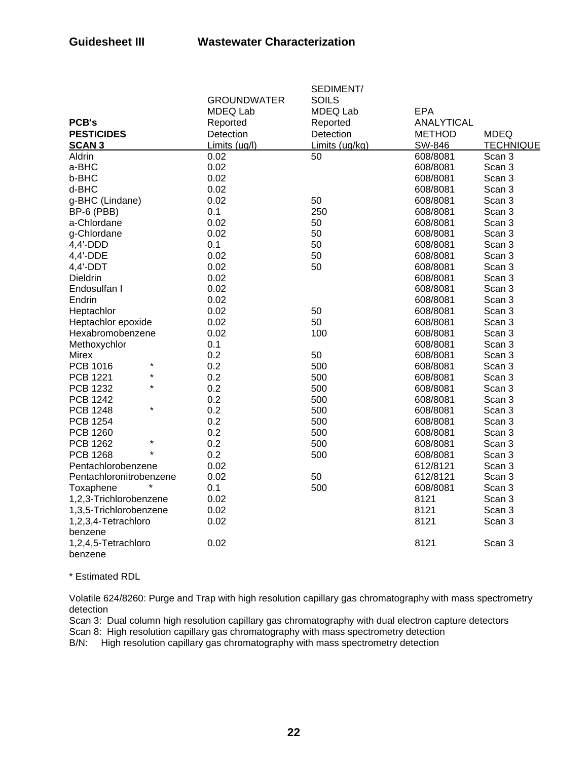|                            |                    | SEDIMENT/       |                   |                  |
|----------------------------|--------------------|-----------------|-------------------|------------------|
|                            | <b>GROUNDWATER</b> | <b>SOILS</b>    |                   |                  |
|                            | <b>MDEQ Lab</b>    | <b>MDEQ Lab</b> | <b>EPA</b>        |                  |
| <b>PCB's</b>               | Reported           | Reported        | <b>ANALYTICAL</b> |                  |
| <b>PESTICIDES</b>          | Detection          | Detection       | <b>METHOD</b>     | <b>MDEQ</b>      |
| <b>SCAN 3</b>              | Limits (ug/l)      | Limits (ug/kg)  | SW-846            | <b>TECHNIQUE</b> |
| Aldrin                     | 0.02               | 50              | 608/8081          | Scan 3           |
| a-BHC                      | 0.02               |                 | 608/8081          | Scan 3           |
| b-BHC                      | 0.02               |                 | 608/8081          | Scan 3           |
| d-BHC                      | 0.02               |                 | 608/8081          | Scan 3           |
| g-BHC (Lindane)            | 0.02               | 50              | 608/8081          | Scan 3           |
| BP-6 (PBB)                 | 0.1                | 250             | 608/8081          | Scan 3           |
| a-Chlordane                | 0.02               | 50              | 608/8081          | Scan 3           |
| g-Chlordane                | 0.02               | 50              | 608/8081          | Scan 3           |
| 4,4'-DDD                   | 0.1                | 50              | 608/8081          | Scan 3           |
| 4,4'-DDE                   | 0.02               | 50              | 608/8081          | Scan 3           |
| $4,4'$ -DDT                | 0.02               | 50              | 608/8081          | Scan 3           |
| <b>Dieldrin</b>            | 0.02               |                 | 608/8081          | Scan 3           |
| Endosulfan I               | 0.02               |                 | 608/8081          | Scan 3           |
| Endrin                     | 0.02               |                 | 608/8081          | Scan 3           |
| Heptachlor                 | 0.02               | 50              | 608/8081          | Scan 3           |
| Heptachlor epoxide         | 0.02               | 50              | 608/8081          | Scan 3           |
| Hexabromobenzene           | 0.02               | 100             | 608/8081          | Scan 3           |
| Methoxychlor               | 0.1                |                 | 608/8081          | Scan 3           |
| <b>Mirex</b>               | 0.2                | 50              | 608/8081          | Scan 3           |
| *<br>PCB 1016              | 0.2                | 500             | 608/8081          | Scan 3           |
| $\star$<br><b>PCB 1221</b> | 0.2                | 500             | 608/8081          | Scan 3           |
| $\star$<br><b>PCB 1232</b> | 0.2                | 500             | 608/8081          | Scan 3           |
| <b>PCB 1242</b>            | 0.2                | 500             | 608/8081          | Scan 3           |
| $\star$<br><b>PCB 1248</b> | 0.2                | 500             | 608/8081          | Scan 3           |
| <b>PCB 1254</b>            | 0.2                | 500             | 608/8081          | Scan 3           |
| <b>PCB 1260</b>            | 0.2                | 500             | 608/8081          | Scan 3           |
| $\star$<br><b>PCB 1262</b> | 0.2                | 500             | 608/8081          | Scan 3           |
| <b>PCB 1268</b>            | 0.2                | 500             | 608/8081          | Scan 3           |
| Pentachlorobenzene         | 0.02               |                 | 612/8121          | Scan 3           |
| Pentachloronitrobenzene    | 0.02               | 50              | 612/8121          | Scan 3           |
| Toxaphene                  | 0.1                | 500             | 608/8081          | Scan 3           |
| 1,2,3-Trichlorobenzene     | 0.02               |                 | 8121              | Scan 3           |
| 1,3,5-Trichlorobenzene     | 0.02               |                 | 8121              | Scan 3           |
| 1,2,3,4-Tetrachloro        | 0.02               |                 | 8121              | Scan 3           |
| benzene                    |                    |                 |                   |                  |
| 1,2,4,5-Tetrachloro        | 0.02               |                 | 8121              | Scan 3           |
| benzene                    |                    |                 |                   |                  |

\* Estimated RDL

Volatile 624/8260: Purge and Trap with high resolution capillary gas chromatography with mass spectrometry detection

Scan 3: Dual column high resolution capillary gas chromatography with dual electron capture detectors Scan 8: High resolution capillary gas chromatography with mass spectrometry detection

B/N: High resolution capillary gas chromatography with mass spectrometry detection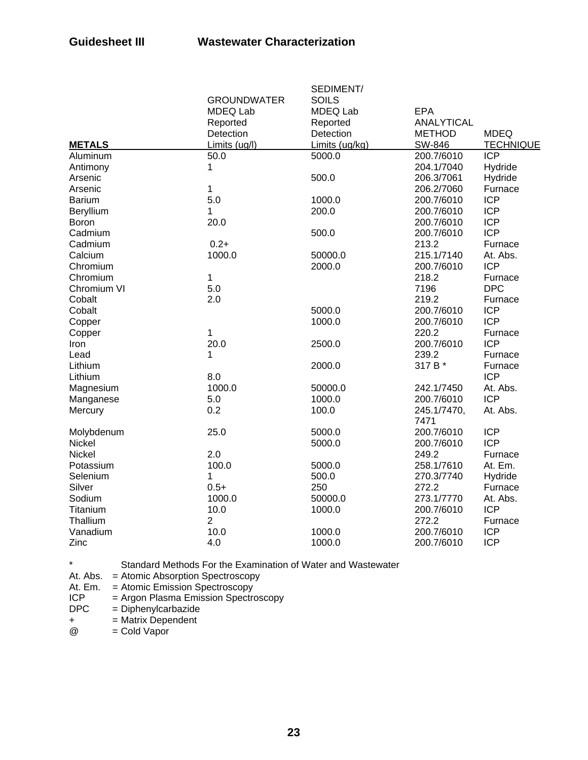|               |                    | SEDIMENT/       |                   |                  |
|---------------|--------------------|-----------------|-------------------|------------------|
|               | <b>GROUNDWATER</b> | <b>SOILS</b>    |                   |                  |
|               | MDEQ Lab           | <b>MDEQ Lab</b> | <b>EPA</b>        |                  |
|               | Reported           | Reported        | <b>ANALYTICAL</b> |                  |
|               | Detection          | Detection       | <b>METHOD</b>     | <b>MDEQ</b>      |
| <b>METALS</b> | Limits (ug/l)      | Limits (ug/kg)  | SW-846            | <b>TECHNIQUE</b> |
| Aluminum      | 50.0               | 5000.0          | 200.7/6010        | <b>ICP</b>       |
| Antimony      | 1                  |                 | 204.1/7040        | Hydride          |
| Arsenic       |                    | 500.0           | 206.3/7061        | Hydride          |
| Arsenic       | 1                  |                 | 206.2/7060        | Furnace          |
| <b>Barium</b> | 5.0                | 1000.0          | 200.7/6010        | <b>ICP</b>       |
| Beryllium     | 1                  | 200.0           | 200.7/6010        | <b>ICP</b>       |
| Boron         | 20.0               |                 | 200.7/6010        | <b>ICP</b>       |
| Cadmium       |                    | 500.0           | 200.7/6010        | <b>ICP</b>       |
| Cadmium       | $0.2 +$            |                 | 213.2             | Furnace          |
| Calcium       | 1000.0             | 50000.0         | 215.1/7140        | At. Abs.         |
| Chromium      |                    | 2000.0          | 200.7/6010        | <b>ICP</b>       |
| Chromium      | 1                  |                 | 218.2             | Furnace          |
| Chromium VI   | 5.0                |                 | 7196              | <b>DPC</b>       |
| Cobalt        | 2.0                |                 | 219.2             | Furnace          |
| Cobalt        |                    | 5000.0          | 200.7/6010        | <b>ICP</b>       |
| Copper        |                    | 1000.0          | 200.7/6010        | <b>ICP</b>       |
| Copper        | $\mathbf 1$        |                 | 220.2             | Furnace          |
| Iron          | 20.0               | 2500.0          | 200.7/6010        | <b>ICP</b>       |
| Lead          | 1                  |                 | 239.2             | Furnace          |
| Lithium       |                    | 2000.0          | 317 B *           | Furnace          |
| Lithium       | 8.0                |                 |                   | <b>ICP</b>       |
| Magnesium     | 1000.0             | 50000.0         | 242.1/7450        | At. Abs.         |
| Manganese     | 5.0                | 1000.0          | 200.7/6010        | <b>ICP</b>       |
| Mercury       | 0.2                | 100.0           | 245.1/7470,       | At. Abs.         |
|               |                    |                 | 7471              |                  |
| Molybdenum    | 25.0               | 5000.0          | 200.7/6010        | <b>ICP</b>       |
| Nickel        |                    | 5000.0          | 200.7/6010        | <b>ICP</b>       |
| <b>Nickel</b> | 2.0                |                 | 249.2             | Furnace          |
| Potassium     | 100.0              | 5000.0          | 258.1/7610        | At. Em.          |
| Selenium      | 1                  | 500.0           | 270.3/7740        | Hydride          |
| Silver        | $0.5+$             | 250             | 272.2             | Furnace          |
| Sodium        | 1000.0             | 50000.0         | 273.1/7770        | At. Abs.         |
| Titanium      | 10.0               | 1000.0          | 200.7/6010        | <b>ICP</b>       |
| Thallium      | $\overline{2}$     |                 | 272.2             | Furnace          |
| Vanadium      | 10.0               | 1000.0          | 200.7/6010        | <b>ICP</b>       |
| Zinc          | 4.0                | 1000.0          | 200.7/6010        | <b>ICP</b>       |

\* Standard Methods For the Examination of Water and Wastewater

At. Abs. = Atomic Absorption Spectroscopy

- At. Em. = Atomic Emission Spectroscopy<br>ICP = Argon Plasma Emission Spectro
- ICP = Argon Plasma Emission Spectroscopy<br>DPC = Diphenylcarbazide
- $=$  Diphenylcarbazide
- $+$  = Matrix Dependent

 $@ = Cold Vapor$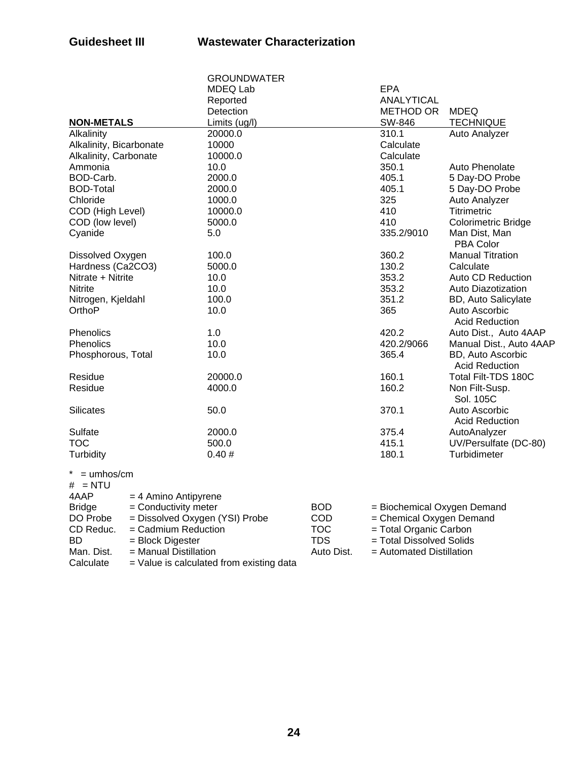|                                     |                      | <b>GROUNDWATER</b>             |                          |                             |                                            |  |
|-------------------------------------|----------------------|--------------------------------|--------------------------|-----------------------------|--------------------------------------------|--|
|                                     |                      | MDEQ Lab                       |                          | <b>EPA</b>                  |                                            |  |
|                                     |                      | Reported                       |                          | <b>ANALYTICAL</b>           |                                            |  |
|                                     |                      | Detection                      |                          | <b>METHOD OR</b>            | <b>MDEQ</b>                                |  |
| <b>NON-METALS</b>                   |                      | Limits (ug/l)                  |                          | SW-846                      | <b>TECHNIQUE</b>                           |  |
| Alkalinity                          |                      | 20000.0                        |                          | 310.1                       | Auto Analyzer                              |  |
| Alkalinity, Bicarbonate             |                      | 10000                          |                          | Calculate                   |                                            |  |
| Alkalinity, Carbonate               |                      | 10000.0                        |                          | Calculate                   |                                            |  |
| Ammonia                             |                      | 10.0                           |                          | 350.1                       | Auto Phenolate                             |  |
| BOD-Carb.                           |                      | 2000.0                         |                          | 405.1                       | 5 Day-DO Probe                             |  |
| <b>BOD-Total</b>                    |                      | 2000.0                         |                          | 405.1                       | 5 Day-DO Probe                             |  |
| Chloride                            |                      | 1000.0                         |                          | 325                         | Auto Analyzer                              |  |
| COD (High Level)                    |                      | 10000.0                        |                          | 410                         | <b>Titrimetric</b>                         |  |
| COD (low level)                     |                      | 5000.0                         |                          |                             | Colorimetric Bridge                        |  |
| Cyanide                             |                      | 5.0                            |                          |                             | Man Dist, Man<br><b>PBA Color</b>          |  |
| Dissolved Oxygen                    |                      | 100.0                          |                          | 360.2                       | <b>Manual Titration</b>                    |  |
| Hardness (Ca2CO3)                   |                      | 5000.0                         |                          |                             | Calculate                                  |  |
| Nitrate + Nitrite                   |                      | 10.0                           |                          | 353.2                       | Auto CD Reduction                          |  |
| <b>Nitrite</b>                      |                      | 10.0                           |                          | 353.2                       | Auto Diazotization                         |  |
| Nitrogen, Kjeldahl                  |                      | 100.0                          |                          | 351.2                       | BD, Auto Salicylate                        |  |
| OrthoP                              |                      | 10.0                           |                          | 365                         | Auto Ascorbic<br><b>Acid Reduction</b>     |  |
| Phenolics                           |                      | 1.0                            |                          | 420.2                       | Auto Dist., Auto 4AAP                      |  |
| <b>Phenolics</b>                    |                      | 10.0                           |                          | 420.2/9066                  | Manual Dist., Auto 4AAP                    |  |
| Phosphorous, Total                  |                      | 10.0                           |                          | 365.4                       | BD, Auto Ascorbic<br><b>Acid Reduction</b> |  |
| Residue                             |                      | 20000.0                        |                          | 160.1                       | Total Filt-TDS 180C                        |  |
| Residue                             |                      | 4000.0                         |                          | 160.2                       | Non Filt-Susp.<br>Sol. 105C                |  |
| <b>Silicates</b>                    |                      | 50.0                           |                          | 370.1                       | Auto Ascorbic<br><b>Acid Reduction</b>     |  |
| Sulfate                             |                      | 2000.0                         |                          | 375.4                       | AutoAnalyzer                               |  |
| <b>TOC</b>                          |                      | 500.0                          |                          | 415.1                       | UV/Persulfate (DC-80)                      |  |
| Turbidity                           |                      | 0.40#                          |                          | 180.1                       | Turbidimeter                               |  |
| $=$ umhos/cm<br>$# = NTU$           |                      |                                |                          |                             |                                            |  |
| 4AAP                                | = 4 Amino Antipyrene |                                |                          |                             |                                            |  |
| <b>Bridge</b>                       | = Conductivity meter |                                | <b>BOD</b>               | = Biochemical Oxygen Demand |                                            |  |
| DO Probe                            |                      | = Dissolved Oxygen (YSI) Probe | COD                      | = Chemical Oxygen Demand    |                                            |  |
| CD Reduc.                           | = Cadmium Reduction  |                                | <b>TOC</b>               | = Total Organic Carbon      |                                            |  |
| <b>BD</b>                           | = Block Digester     |                                | <b>TDS</b>               | = Total Dissolved Solids    |                                            |  |
| Man. Dist.<br>= Manual Distillation |                      | Auto Dist.                     | = Automated Distillation |                             |                                            |  |

 $Calculate = Value is calculated from existing data$ 

**24**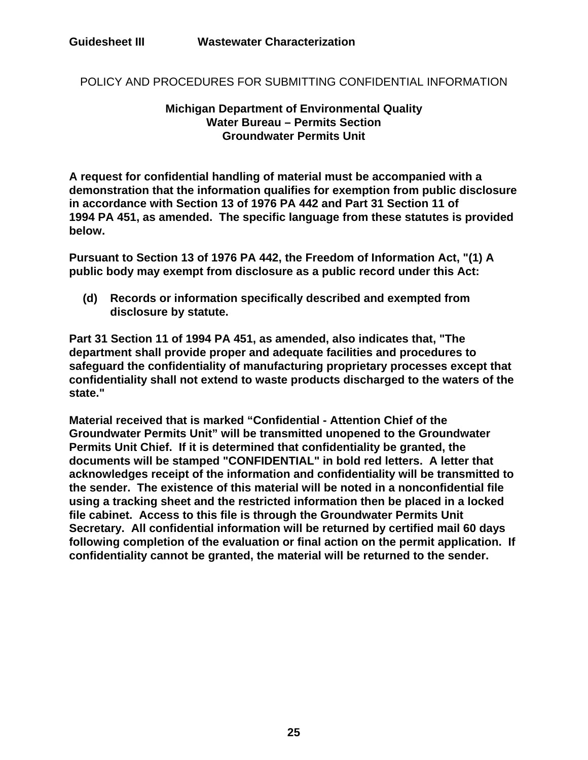POLICY AND PROCEDURES FOR SUBMITTING CONFIDENTIAL INFORMATION

### **Michigan Department of Environmental Quality Water Bureau – Permits Section Groundwater Permits Unit**

**A request for confidential handling of material must be accompanied with a demonstration that the information qualifies for exemption from public disclosure in accordance with Section 13 of 1976 PA 442 and Part 31 Section 11 of 1994 PA 451, as amended. The specific language from these statutes is provided below.**

**Pursuant to Section 13 of 1976 PA 442, the Freedom of Information Act, "(1) A public body may exempt from disclosure as a public record under this Act:** 

**(d) Records or information specifically described and exempted from disclosure by statute.** 

**Part 31 Section 11 of 1994 PA 451, as amended, also indicates that, "The department shall provide proper and adequate facilities and procedures to safeguard the confidentiality of manufacturing proprietary processes except that confidentiality shall not extend to waste products discharged to the waters of the state."** 

**Material received that is marked "Confidential - Attention Chief of the Groundwater Permits Unit" will be transmitted unopened to the Groundwater Permits Unit Chief. If it is determined that confidentiality be granted, the documents will be stamped "CONFIDENTIAL" in bold red letters. A letter that acknowledges receipt of the information and confidentiality will be transmitted to the sender. The existence of this material will be noted in a nonconfidential file using a tracking sheet and the restricted information then be placed in a locked file cabinet. Access to this file is through the Groundwater Permits Unit Secretary. All confidential information will be returned by certified mail 60 days following completion of the evaluation or final action on the permit application. If confidentiality cannot be granted, the material will be returned to the sender.**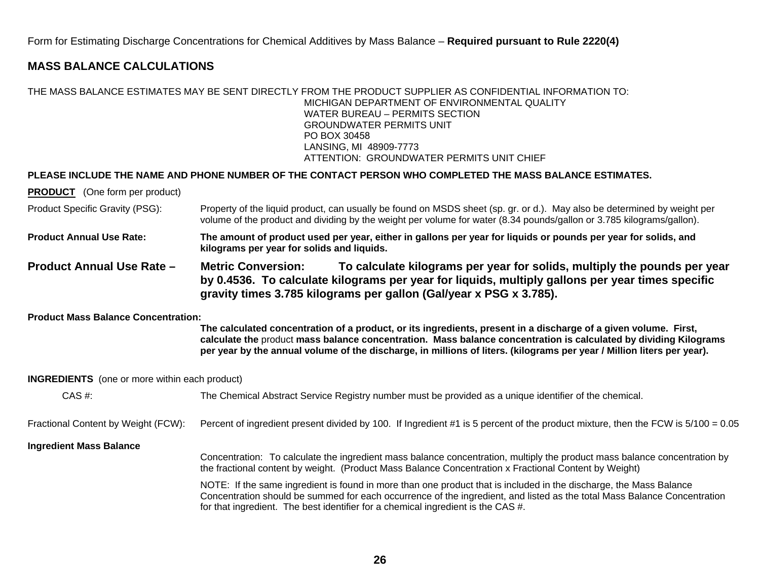Form for Estimating Discharge Concentrations for Chemical Additives by Mass Balance – **Required pursuant to Rule 2220(4)**

### **MASS BALANCE CALCULATIONS**

### THE MASS BALANCE ESTIMATES MAY BE SENT DIRECTLY FROM THE PRODUCT SUPPLIER AS CONFIDENTIAL INFORMATION TO: MICHIGAN DEPARTMENT OF ENVIRONMENTAL QUALITY WATER BUREAU – PERMITS SECTION GROUNDWATER PERMITS UNIT PO BOX 30458 LANSING, MI 48909-7773 ATTENTION: GROUNDWATER PERMITS UNIT CHIEF

### **PLEASE INCLUDE THE NAME AND PHONE NUMBER OF THE CONTACT PERSON WHO COMPLETED THE MASS BALANCE ESTIMATES.**

**PRODUCT** (One form per product)

Product Specific Gravity (PSG): Property of the liquid product, can usually be found on MSDS sheet (sp. gr. or d.). May also be determined by weight per volume of the product and dividing by the weight per volume for water (8.34 pounds/gallon or 3.785 kilograms/gallon).

**Product Annual Use Rate: The amount of product used per year, either in gallons per year for liquids or pounds per year for solids, and kilograms per year for solids and liquids.** 

**Product Annual Use Rate – Metric Conversion: To calculate kilograms per year for solids, multiply the pounds per year by 0.4536. To calculate kilograms per year for liquids, multiply gallons per year times specific gravity times 3.785 kilograms per gallon (Gal/year x PSG x 3.785).** 

### **Product Mass Balance Concentration:**

**The calculated concentration of a product, or its ingredients, present in a discharge of a given volume. First, calculate the** product **mass balance concentration. Mass balance concentration is calculated by dividing Kilograms per year by the annual volume of the discharge, in millions of liters. (kilograms per year / Million liters per year).** 

### **INGREDIENTS** (one or more within each product)

| $CAS \#$ :                          | The Chemical Abstract Service Registry number must be provided as a unique identifier of the chemical.                                                                                                                                                                                                                             |
|-------------------------------------|------------------------------------------------------------------------------------------------------------------------------------------------------------------------------------------------------------------------------------------------------------------------------------------------------------------------------------|
| Fractional Content by Weight (FCW): | Percent of ingredient present divided by 100. If Ingredient #1 is 5 percent of the product mixture, then the FCW is 5/100 = 0.05                                                                                                                                                                                                   |
| <b>Ingredient Mass Balance</b>      | Concentration: To calculate the ingredient mass balance concentration, multiply the product mass balance concentration by<br>the fractional content by weight. (Product Mass Balance Concentration x Fractional Content by Weight)                                                                                                 |
|                                     | NOTE: If the same ingredient is found in more than one product that is included in the discharge, the Mass Balance<br>Concentration should be summed for each occurrence of the ingredient, and listed as the total Mass Balance Concentration<br>for that ingredient. The best identifier for a chemical ingredient is the CAS #. |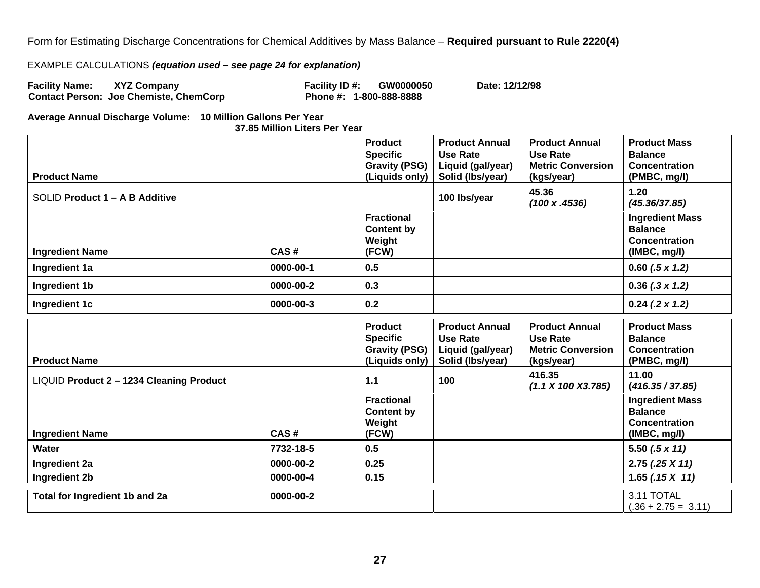Form for Estimating Discharge Concentrations for Chemical Additives by Mass Balance – **Required pursuant to Rule 2220(4)**

### EXAMPLE CALCULATIONS *(equation used – see page 24 for explanation)*

Facility Name: XYZ Company **Facility ID #:** GW0000050 Date: 12/12/98<br>Contact Person: Joe Chemiste, ChemCorp **Phone #: 1-800-888-8888 Contact Person: Joe Chemiste, ChemCorp** 

**Average Annual Discharge Volume: 10 Million Gallons Per Year** 

**37.85 Million Liters Per Year** 

| <b>Product Name</b>                      |           | <b>Product</b><br><b>Specific</b><br><b>Gravity (PSG)</b><br>(Liquids only) | <b>Product Annual</b><br><b>Use Rate</b><br>Liquid (gal/year)<br>Solid (Ibs/year) | <b>Product Annual</b><br><b>Use Rate</b><br><b>Metric Conversion</b><br>(kgs/year) | <b>Product Mass</b><br><b>Balance</b><br><b>Concentration</b><br>(PMBC, mg/l)    |
|------------------------------------------|-----------|-----------------------------------------------------------------------------|-----------------------------------------------------------------------------------|------------------------------------------------------------------------------------|----------------------------------------------------------------------------------|
| SOLID Product 1 - A B Additive           |           |                                                                             | 100 lbs/year                                                                      | 45.36<br>(100 x .4536)                                                             | 1.20<br>(45.36/37.85)                                                            |
| <b>Ingredient Name</b>                   | CAS#      | <b>Fractional</b><br><b>Content by</b><br>Weight<br>(FCW)                   |                                                                                   |                                                                                    | <b>Ingredient Mass</b><br><b>Balance</b><br><b>Concentration</b><br>(IMBC, mg/l) |
| Ingredient 1a                            | 0000-00-1 | 0.5                                                                         |                                                                                   |                                                                                    | $0.60$ (.5 x 1.2)                                                                |
| Ingredient 1b                            | 0000-00-2 | 0.3                                                                         |                                                                                   |                                                                                    | $0.36$ (.3 x 1.2)                                                                |
| Ingredient 1c                            | 0000-00-3 | 0.2                                                                         |                                                                                   |                                                                                    | $0.24$ (.2 x 1.2)                                                                |
| <b>Product Name</b>                      |           | <b>Product</b><br><b>Specific</b><br><b>Gravity (PSG)</b><br>(Liquids only) | <b>Product Annual</b><br><b>Use Rate</b><br>Liquid (gal/year)<br>Solid (Ibs/year) | <b>Product Annual</b><br><b>Use Rate</b><br><b>Metric Conversion</b><br>(kgs/year) | <b>Product Mass</b><br><b>Balance</b><br><b>Concentration</b><br>(PMBC, mg/l)    |
| LIQUID Product 2 - 1234 Cleaning Product |           | 1.1                                                                         | 100                                                                               | 416.35<br>(1.1 X 100 X3.785)                                                       | 11.00<br>(416.35 / 37.85)                                                        |
| <b>Ingredient Name</b>                   | CAS#      | <b>Fractional</b><br><b>Content by</b><br>Weight<br>(FCW)                   |                                                                                   |                                                                                    | <b>Ingredient Mass</b><br><b>Balance</b><br><b>Concentration</b><br>(IMBC, mg/l) |
| <b>Water</b>                             | 7732-18-5 | 0.5                                                                         |                                                                                   |                                                                                    | 5.50 $(.5 \times 11)$                                                            |
| Ingredient 2a                            | 0000-00-2 | 0.25                                                                        |                                                                                   |                                                                                    | $2.75(.25 \times 11)$                                                            |
| Ingredient 2b                            | 0000-00-4 | 0.15                                                                        |                                                                                   |                                                                                    | 1.65 $(.15 X 11)$                                                                |
| Total for Ingredient 1b and 2a           | 0000-00-2 |                                                                             |                                                                                   |                                                                                    | 3.11 TOTAL<br>$(.36 + 2.75 = 3.11)$                                              |